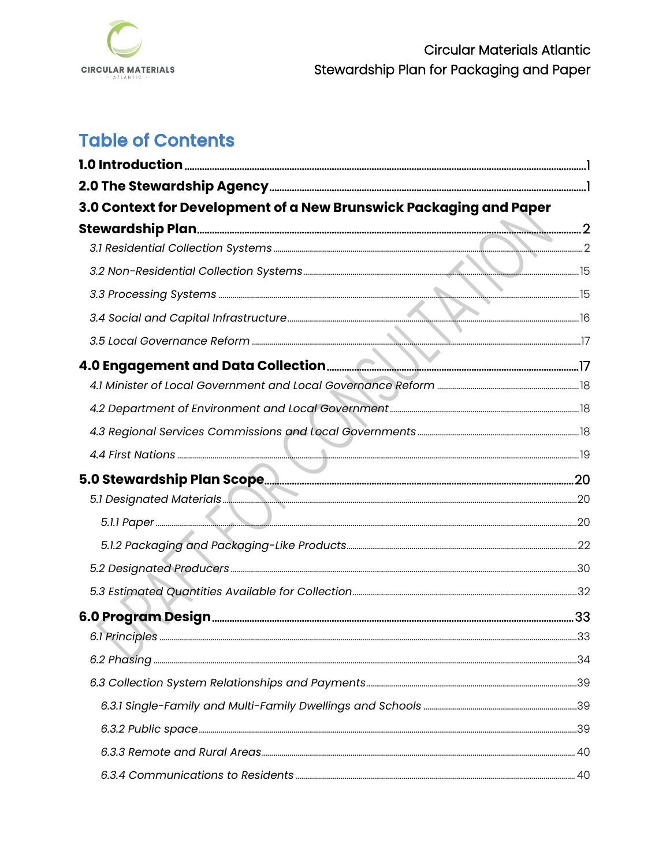

# **Table of Contents**

| 3.0 Context for Development of a New Brunswick Packaging and Paper |  |
|--------------------------------------------------------------------|--|
|                                                                    |  |
|                                                                    |  |
|                                                                    |  |
|                                                                    |  |
|                                                                    |  |
|                                                                    |  |
|                                                                    |  |
|                                                                    |  |
|                                                                    |  |
|                                                                    |  |
|                                                                    |  |
|                                                                    |  |
|                                                                    |  |
|                                                                    |  |
|                                                                    |  |
|                                                                    |  |
|                                                                    |  |
|                                                                    |  |
|                                                                    |  |
|                                                                    |  |
|                                                                    |  |
|                                                                    |  |
|                                                                    |  |
|                                                                    |  |
|                                                                    |  |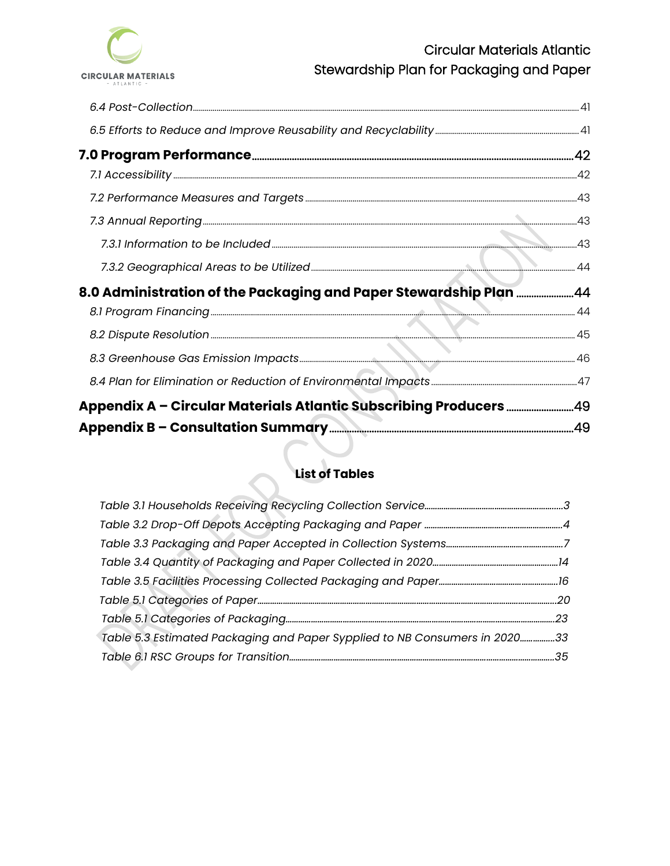

| 8.0 Administration of the Packaging and Paper Stewardship Plan 44  |  |
|--------------------------------------------------------------------|--|
|                                                                    |  |
|                                                                    |  |
|                                                                    |  |
|                                                                    |  |
| Appendix A - Circular Materials Atlantic Subscribing Producers  49 |  |
|                                                                    |  |

# **List of Tables**

| Table 5.3 Estimated Packaging and Paper Sypplied to NB Consumers in 202033 |  |
|----------------------------------------------------------------------------|--|
|                                                                            |  |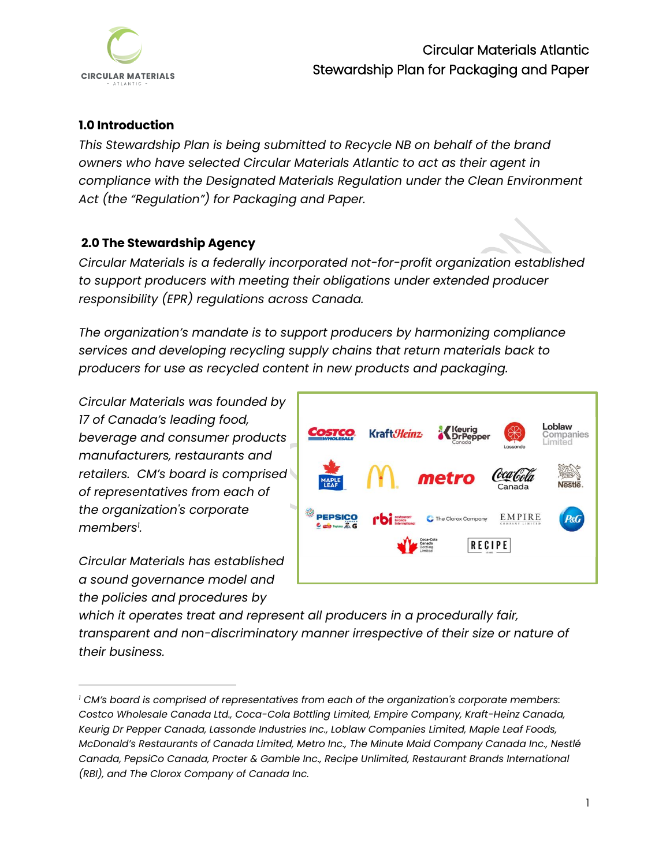

### <span id="page-3-0"></span>**1.0 Introduction**

*This Stewardship Plan is being submitted to Recycle NB on behalf of the brand owners who have selected Circular Materials Atlantic to act as their agent in compliance with the Designated Materials Regulation under the Clean Environment Act (the "Regulation") for Packaging and Paper.* 

### <span id="page-3-1"></span>**2.0 The Stewardship Agency**

*Circular Materials is a federally incorporated not-for-profit organization established to support producers with meeting their obligations under extended producer responsibility (EPR) regulations across Canada.* 

*The organization's mandate is to support producers by harmonizing compliance services and developing recycling supply chains that return materials back to producers for use as recycled content in new products and packaging.*

*Circular Materials was founded by 17 of Canada's leading food, beverage and consumer products manufacturers, restaurants and retailers. CM's board is comprised of representatives from each of the organization's corporate members<sup>1</sup> .*

*Circular Materials has established a sound governance model and the policies and procedures by* 



*which it operates treat and represent all producers in a procedurally fair, transparent and non-discriminatory manner irrespective of their size or nature of their business.* 

*<sup>1</sup> CM's board is comprised of representatives from each of the organization's corporate members: Costco Wholesale Canada Ltd., Coca-Cola Bottling Limited, Empire Company, Kraft-Heinz Canada, Keurig Dr Pepper Canada, Lassonde Industries Inc., Loblaw Companies Limited, Maple Leaf Foods, McDonald's Restaurants of Canada Limited, Metro Inc., The Minute Maid Company Canada Inc., Nestlé Canada, PepsiCo Canada, Procter & Gamble Inc., Recipe Unlimited, Restaurant Brands International (RBI), and The Clorox Company of Canada Inc.*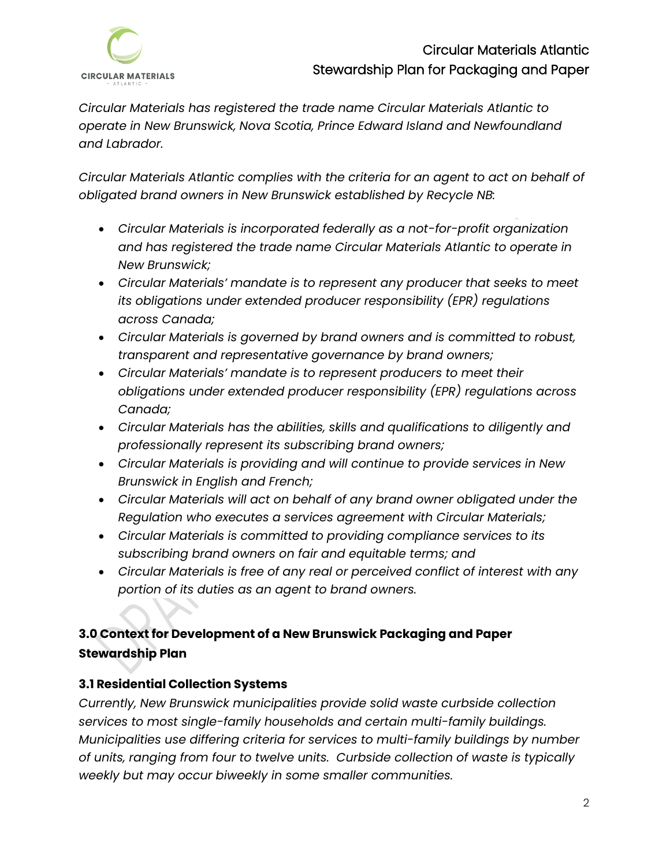

*Circular Materials has registered the trade name Circular Materials Atlantic to operate in New Brunswick, Nova Scotia, Prince Edward Island and Newfoundland and Labrador.* 

*Circular Materials Atlantic complies with the criteria for an agent to act on behalf of obligated brand owners in New Brunswick established by Recycle NB:*

- *Circular Materials is incorporated federally as a not-for-profit organization and has registered the trade name Circular Materials Atlantic to operate in New Brunswick;*
- *Circular Materials' mandate is to represent any producer that seeks to meet its obligations under extended producer responsibility (EPR) regulations across Canada;*
- *Circular Materials is governed by brand owners and is committed to robust, transparent and representative governance by brand owners;*
- *Circular Materials' mandate is to represent producers to meet their obligations under extended producer responsibility (EPR) regulations across Canada;*
- *Circular Materials has the abilities, skills and qualifications to diligently and professionally represent its subscribing brand owners;*
- *Circular Materials is providing and will continue to provide services in New Brunswick in English and French;*
- *Circular Materials will act on behalf of any brand owner obligated under the Regulation who executes a services agreement with Circular Materials;*
- *Circular Materials is committed to providing compliance services to its subscribing brand owners on fair and equitable terms; and*
- *Circular Materials is free of any real or perceived conflict of interest with any portion of its duties as an agent to brand owners.*

# <span id="page-4-0"></span>**3.0 Context for Development of a New Brunswick Packaging and Paper Stewardship Plan**

## <span id="page-4-1"></span>**3.1 Residential Collection Systems**

*Currently, New Brunswick municipalities provide solid waste curbside collection services to most single-family households and certain multi-family buildings. Municipalities use differing criteria for services to multi-family buildings by number of units, ranging from four to twelve units. Curbside collection of waste is typically weekly but may occur biweekly in some smaller communities.*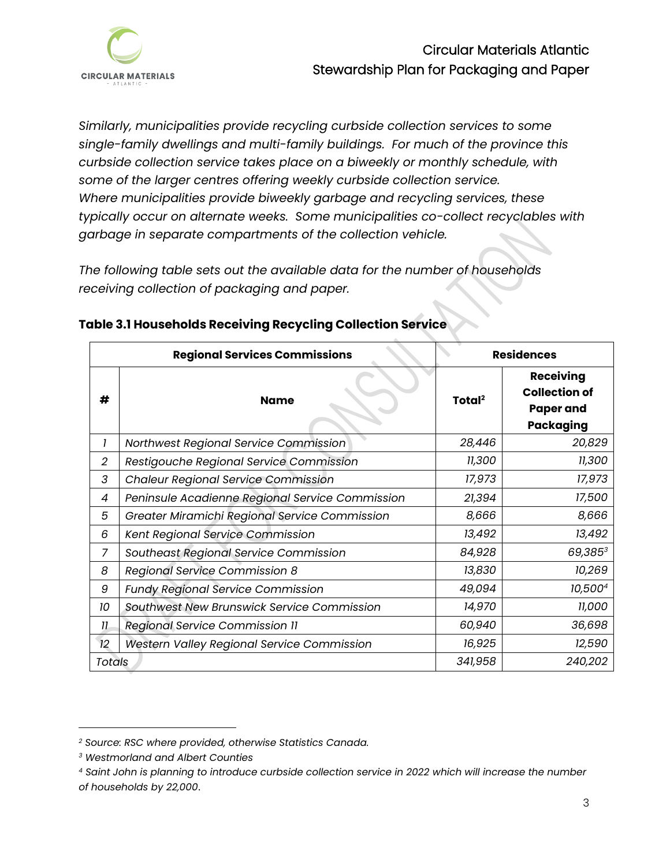

*Similarly, municipalities provide recycling curbside collection services to some single-family dwellings and multi-family buildings. For much of the province this curbside collection service takes place on a biweekly or monthly schedule, with some of the larger centres offering weekly curbside collection service. Where municipalities provide biweekly garbage and recycling services, these typically occur on alternate weeks. Some municipalities co-collect recyclables with garbage in separate compartments of the collection vehicle.* 

*The following table sets out the available data for the number of households receiving collection of packaging and paper.* 

|                | <b>Regional Services Commissions</b>              |                    | <b>Residences</b>                                                                |
|----------------|---------------------------------------------------|--------------------|----------------------------------------------------------------------------------|
| #              | <b>Name</b>                                       | Total <sup>2</sup> | <b>Receiving</b><br><b>Collection of</b><br><b>Paper and</b><br><b>Packaging</b> |
|                | Northwest Regional Service Commission             | 28,446             | 20,829                                                                           |
| $\overline{2}$ | Restigouche Regional Service Commission           | 11,300             | 11,300                                                                           |
| 3              | <b>Chaleur Regional Service Commission</b>        | 17,973             | 17,973                                                                           |
| 4              | Peninsule Acadienne Regional Service Commission   | 21,394             | 17,500                                                                           |
| 5              | Greater Miramichi Regional Service Commission     | 8,666              | 8,666                                                                            |
| 6              | Kent Regional Service Commission                  | 13,492             | 13,492                                                                           |
| 7              | Southeast Regional Service Commission             | 84,928             | 69,3853                                                                          |
| 8              | Regional Service Commission 8                     | 13,830             | 10,269                                                                           |
| 9              | <b>Fundy Regional Service Commission</b>          | 49,094             | 10,5004                                                                          |
| 10             | Southwest New Brunswick Service Commission        | 14,970             | 11,000                                                                           |
| 11             | Regional Service Commission 11                    | 60,940             | 36,698                                                                           |
| 12             | <b>Western Valley Regional Service Commission</b> | 16,925             | 12,590                                                                           |
| Totals         |                                                   | 341,958            | 240,202                                                                          |

#### **Table 3.1 Households Receiving Recycling Collection Service**

*<sup>2</sup> Source: RSC where provided, otherwise Statistics Canada.*

*<sup>3</sup> Westmorland and Albert Counties*

*<sup>4</sup> Saint John is planning to introduce curbside collection service in 2022 which will increase the number of households by 22,000*.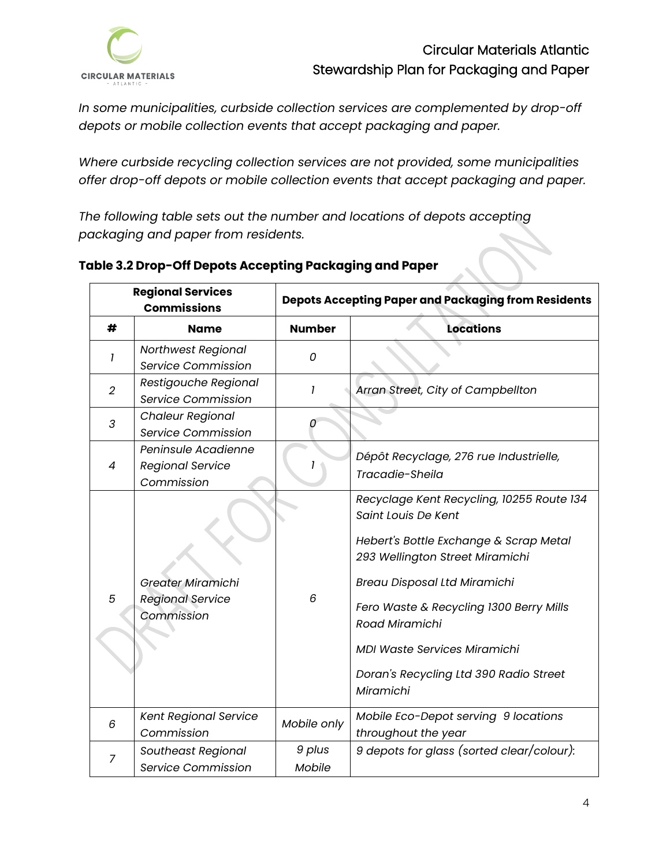

*In some municipalities, curbside collection services are complemented by drop-off depots or mobile collection events that accept packaging and paper.*

*Where curbside recycling collection services are not provided, some municipalities offer drop-off depots or mobile collection events that accept packaging and paper.* 

*The following table sets out the number and locations of depots accepting packaging and paper from residents.* 

| <b>Regional Services</b><br><b>Commissions</b> |                                                                   |                  | <b>Depots Accepting Paper and Packaging from Residents</b>                                                                                                                                                                                                                                                                                      |
|------------------------------------------------|-------------------------------------------------------------------|------------------|-------------------------------------------------------------------------------------------------------------------------------------------------------------------------------------------------------------------------------------------------------------------------------------------------------------------------------------------------|
| #                                              | <b>Name</b>                                                       | <b>Number</b>    | <b>Locations</b>                                                                                                                                                                                                                                                                                                                                |
| 1                                              | Northwest Regional<br>Service Commission                          | 0                |                                                                                                                                                                                                                                                                                                                                                 |
| $\overline{2}$                                 | Restigouche Regional<br>Service Commission                        | 1                | Arran Street, City of Campbellton                                                                                                                                                                                                                                                                                                               |
| 3                                              | <b>Chaleur Regional</b><br>Service Commission                     | 0                |                                                                                                                                                                                                                                                                                                                                                 |
| 4                                              | Peninsule Acadienne<br><b>Regional Service</b><br>Commission      |                  | Dépôt Recyclage, 276 rue Industrielle,<br>Tracadie-Sheila                                                                                                                                                                                                                                                                                       |
| 5                                              | <b>Greater Miramichi</b><br><b>Regional Service</b><br>Commission | 6                | Recyclage Kent Recycling, 10255 Route 134<br>Saint Louis De Kent<br>Hebert's Bottle Exchange & Scrap Metal<br>293 Wellington Street Miramichi<br><b>Breau Disposal Ltd Miramichi</b><br>Fero Waste & Recycling 1300 Berry Mills<br>Road Miramichi<br><b>MDI Waste Services Miramichi</b><br>Doran's Recycling Ltd 390 Radio Street<br>Miramichi |
| 6                                              | <b>Kent Regional Service</b><br>Commission                        | Mobile only      | Mobile Eco-Depot serving 9 locations<br>throughout the year                                                                                                                                                                                                                                                                                     |
| 7                                              | <b>Southeast Regional</b><br>Service Commission                   | 9 plus<br>Mobile | 9 depots for glass (sorted clear/colour):                                                                                                                                                                                                                                                                                                       |

## **Table 3.2 Drop-Off Depots Accepting Packaging and Paper**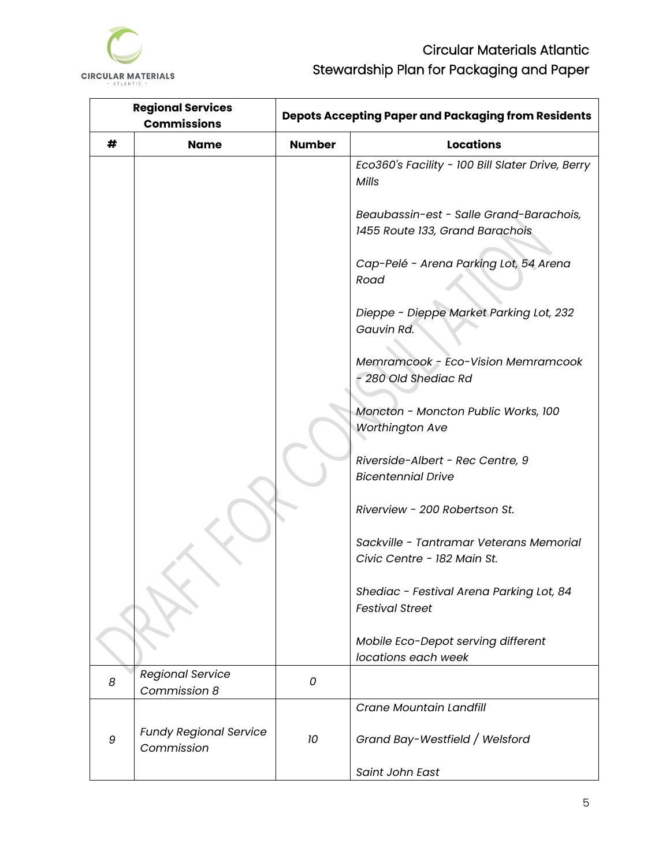

| <b>Regional Services</b><br><b>Commissions</b> |                                             | <b>Depots Accepting Paper and Packaging from Residents</b> |                                                                            |  |
|------------------------------------------------|---------------------------------------------|------------------------------------------------------------|----------------------------------------------------------------------------|--|
| #                                              | <b>Name</b>                                 |                                                            | <b>Locations</b>                                                           |  |
|                                                |                                             |                                                            | Eco360's Facility - 100 Bill Slater Drive, Berry<br>Mills                  |  |
|                                                |                                             |                                                            | Beaubassin-est - Salle Grand-Barachois,<br>1455 Route 133, Grand Barachois |  |
|                                                |                                             |                                                            | Cap-Pelé - Arena Parking Lot, 54 Arena<br>Road                             |  |
|                                                |                                             |                                                            | Dieppe - Dieppe Market Parking Lot, 232<br>Gauvin Rd.                      |  |
|                                                |                                             |                                                            | Memramcook - Eco-Vision Memramcook<br>- 280 Old Shediac Rd                 |  |
|                                                |                                             |                                                            | Moncton - Moncton Public Works, 100<br><b>Worthington Ave</b>              |  |
|                                                |                                             |                                                            | Riverside-Albert - Rec Centre, 9<br><b>Bicentennial Drive</b>              |  |
|                                                |                                             |                                                            | Riverview - 200 Robertson St.                                              |  |
|                                                |                                             |                                                            | Sackville - Tantramar Veterans Memorial<br>Civic Centre - 182 Main St.     |  |
|                                                |                                             |                                                            | Shediac - Festival Arena Parking Lot, 84<br><b>Festival Street</b>         |  |
|                                                |                                             |                                                            | Mobile Eco-Depot serving different<br>locations each week                  |  |
| 8                                              | <b>Regional Service</b><br>Commission 8     | 0                                                          |                                                                            |  |
|                                                |                                             |                                                            | Crane Mountain Landfill                                                    |  |
| 9                                              | <b>Fundy Regional Service</b><br>Commission | 10                                                         | Grand Bay-Westfield / Welsford                                             |  |
|                                                |                                             |                                                            | Saint John East                                                            |  |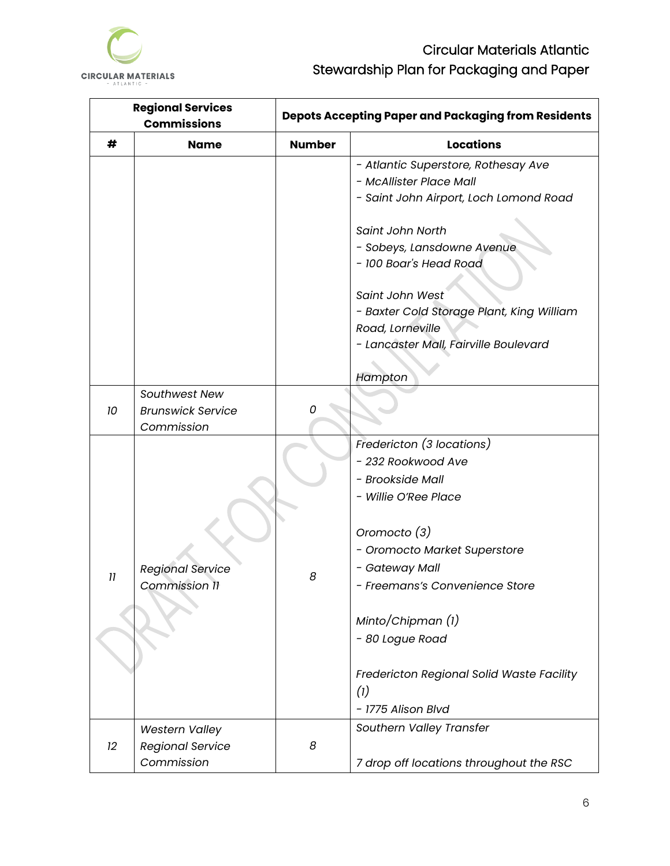

| <b>Regional Services</b><br><b>Commissions</b> |                                                                | <b>Depots Accepting Paper and Packaging from Residents</b> |                                                                                                                                      |  |
|------------------------------------------------|----------------------------------------------------------------|------------------------------------------------------------|--------------------------------------------------------------------------------------------------------------------------------------|--|
| #                                              | <b>Name</b>                                                    | <b>Number</b>                                              | <b>Locations</b>                                                                                                                     |  |
|                                                |                                                                |                                                            | - Atlantic Superstore, Rothesay Ave<br>- McAllister Place Mall<br>- Saint John Airport, Loch Lomond Road                             |  |
|                                                |                                                                |                                                            | Saint John North<br>- Sobeys, Lansdowne Avenue<br>- 100 Boar's Head Road                                                             |  |
|                                                |                                                                |                                                            | Saint John West<br>- Baxter Cold Storage Plant, King William<br>Road, Lorneville<br>- Lancaster Mall, Fairville Boulevard<br>Hampton |  |
| 10                                             | Southwest New<br><b>Brunswick Service</b><br>Commission        | 0                                                          |                                                                                                                                      |  |
|                                                |                                                                |                                                            | Fredericton (3 locations)<br>- 232 Rookwood Ave<br>- Brookside Mall<br>- Willie O'Ree Place<br>Oromocto (3)                          |  |
| 11                                             | <b>Regional Service</b><br>Commission 11                       | 8                                                          | - Oromocto Market Superstore<br>- Gateway Mall<br>- Freemans's Convenience Store                                                     |  |
|                                                |                                                                |                                                            | Minto/Chipman (1)<br>- 80 Logue Road                                                                                                 |  |
|                                                |                                                                |                                                            | Fredericton Regional Solid Waste Facility<br>(1)<br>- 1775 Alison Blvd                                                               |  |
| 12                                             | <b>Western Valley</b><br><b>Regional Service</b><br>Commission | 8                                                          | Southern Valley Transfer<br>7 drop off locations throughout the RSC                                                                  |  |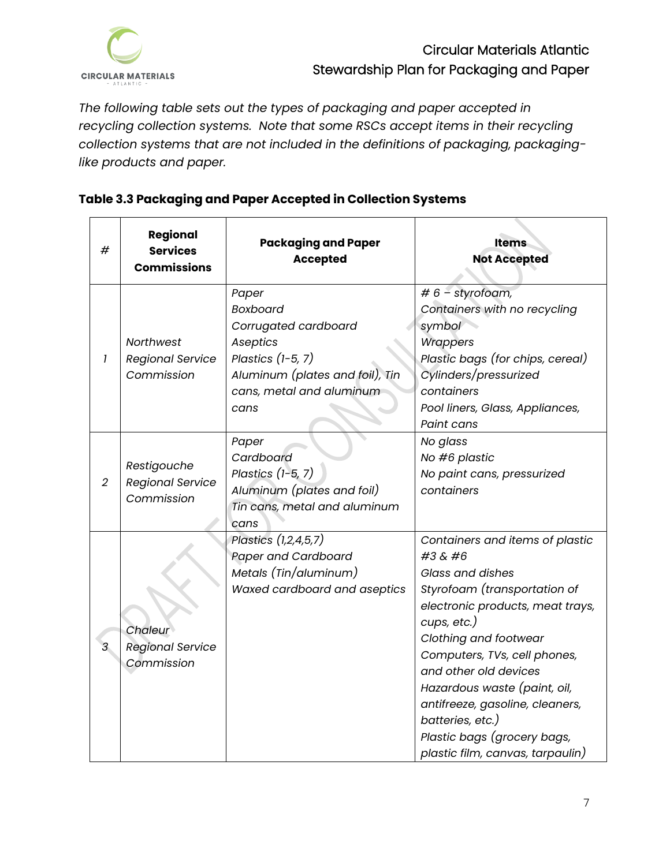

*The following table sets out the types of packaging and paper accepted in recycling collection systems. Note that some RSCs accept items in their recycling collection systems that are not included in the definitions of packaging, packaginglike products and paper.* 

| #              | Regional<br><b>Services</b><br><b>Commissions</b>    | <b>Packaging and Paper</b><br><b>Accepted</b>                                                                                                              | <b>Items</b><br><b>Not Accepted</b>                                                                                                                                                                                                                                                                                                                                                                  |
|----------------|------------------------------------------------------|------------------------------------------------------------------------------------------------------------------------------------------------------------|------------------------------------------------------------------------------------------------------------------------------------------------------------------------------------------------------------------------------------------------------------------------------------------------------------------------------------------------------------------------------------------------------|
| $\mathbf{I}$   | Northwest<br><b>Regional Service</b><br>Commission   | Paper<br><b>Boxboard</b><br>Corrugated cardboard<br>Aseptics<br>Plastics $(1-5, 7)$<br>Aluminum (plates and foil), Tin<br>cans, metal and aluminum<br>cans | $# 6$ – styrofoam,<br>Containers with no recycling<br>symbol<br><b>Wrappers</b><br>Plastic bags (for chips, cereal)<br>Cylinders/pressurized<br>containers<br>Pool liners, Glass, Appliances,<br>Paint cans                                                                                                                                                                                          |
| $\overline{2}$ | Restigouche<br><b>Regional Service</b><br>Commission | Paper<br>Cardboard<br>Plastics $(1-5, 7)$<br>Aluminum (plates and foil)<br>Tin cans, metal and aluminum<br>cans                                            | No glass<br>No #6 plastic<br>No paint cans, pressurized<br>containers                                                                                                                                                                                                                                                                                                                                |
| $\mathcal{S}$  | Chaleur<br><b>Regional Service</b><br>Commission     | Plastics (1,2,4,5,7)<br><b>Paper and Cardboard</b><br>Metals (Tin/aluminum)<br>Waxed cardboard and aseptics                                                | Containers and items of plastic<br>#3 & #6<br><b>Glass and dishes</b><br>Styrofoam (transportation of<br>electronic products, meat trays,<br>cups, etc.)<br>Clothing and footwear<br>Computers, TVs, cell phones,<br>and other old devices<br>Hazardous waste (paint, oil,<br>antifreeze, gasoline, cleaners,<br>batteries, etc.)<br>Plastic bags (grocery bags,<br>plastic film, canvas, tarpaulin) |

## **Table 3.3 Packaging and Paper Accepted in Collection Systems**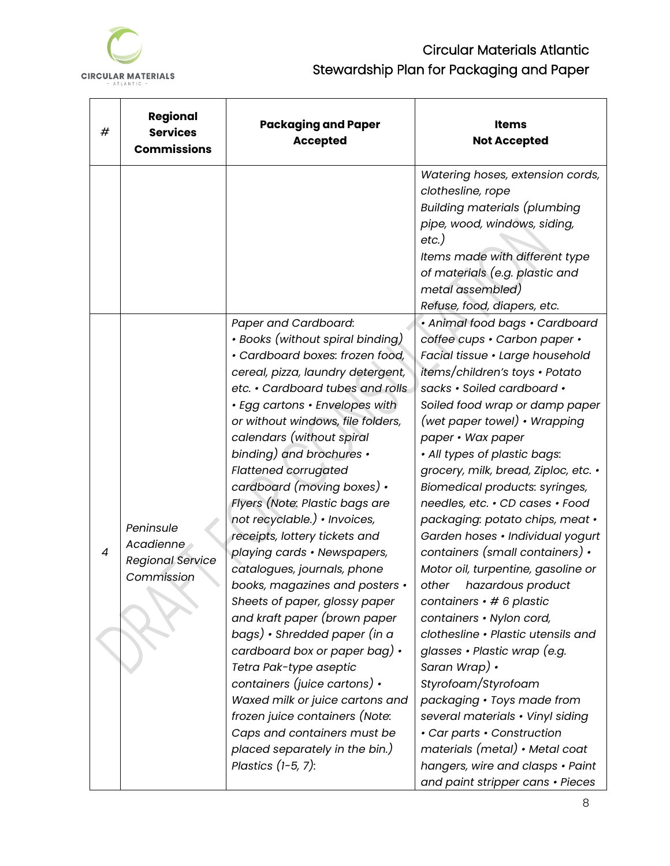

| #              | Regional<br><b>Services</b><br><b>Commissions</b>               | <b>Packaging and Paper</b><br><b>Accepted</b>                                                                                                                                                                                                                                                                                                                                                                                                                                                                                                                                                                                                                                                                                                                                                                                                                                                                                               | <b>Items</b><br><b>Not Accepted</b>                                                                                                                                                                                                                                                                                                                                                                                                                                                                                                                                                                                                                                                                                                                                                                                                                                                                                                                                       |
|----------------|-----------------------------------------------------------------|---------------------------------------------------------------------------------------------------------------------------------------------------------------------------------------------------------------------------------------------------------------------------------------------------------------------------------------------------------------------------------------------------------------------------------------------------------------------------------------------------------------------------------------------------------------------------------------------------------------------------------------------------------------------------------------------------------------------------------------------------------------------------------------------------------------------------------------------------------------------------------------------------------------------------------------------|---------------------------------------------------------------------------------------------------------------------------------------------------------------------------------------------------------------------------------------------------------------------------------------------------------------------------------------------------------------------------------------------------------------------------------------------------------------------------------------------------------------------------------------------------------------------------------------------------------------------------------------------------------------------------------------------------------------------------------------------------------------------------------------------------------------------------------------------------------------------------------------------------------------------------------------------------------------------------|
|                |                                                                 |                                                                                                                                                                                                                                                                                                                                                                                                                                                                                                                                                                                                                                                                                                                                                                                                                                                                                                                                             | Watering hoses, extension cords,<br>clothesline, rope<br><b>Building materials (plumbing</b><br>pipe, wood, windows, siding,<br>$etc.$ )<br>Items made with different type<br>of materials (e.g. plastic and<br>metal assembled)<br>Refuse, food, diapers, etc.                                                                                                                                                                                                                                                                                                                                                                                                                                                                                                                                                                                                                                                                                                           |
| $\overline{4}$ | Peninsule<br>Acadienne<br><b>Regional Service</b><br>Commission | Paper and Cardboard:<br>• Books (without spiral binding)<br>· Cardboard boxes: frozen food,<br>cereal, pizza, laundry detergent,<br>etc. • Cardboard tubes and rolls<br>· Egg cartons · Envelopes with<br>or without windows, file folders,<br>calendars (without spiral<br>binding) and brochures •<br><b>Flattened corrugated</b><br>cardboard (moving boxes) •<br>Flyers (Note: Plastic bags are<br>not recyclable.) • Invoices,<br>receipts, lottery tickets and<br>playing cards · Newspapers,<br>catalogues, journals, phone<br>books, magazines and posters •<br>Sheets of paper, glossy paper<br>and kraft paper (brown paper<br>bags) • Shredded paper (in a<br>cardboard box or paper bag) $\cdot$<br>Tetra Pak-type aseptic<br>containers (juice cartons) $\cdot$<br>Waxed milk or juice cartons and<br>frozen juice containers (Note:<br>Caps and containers must be<br>placed separately in the bin.)<br>Plastics $(1-5, 7)$ : | · Animal food bags · Cardboard<br>coffee cups · Carbon paper ·<br>Facial tissue · Large household<br>items/children's toys • Potato<br>sacks · Soiled cardboard ·<br>Soiled food wrap or damp paper<br>(wet paper towel) • Wrapping<br>paper • Wax paper<br>• All types of plastic bags:<br>grocery, milk, bread, Ziploc, etc. •<br>Biomedical products: syringes,<br>needles, etc. • CD cases • Food<br>packaging: potato chips, meat •<br>Garden hoses · Individual yogurt<br>containers (small containers) •<br>Motor oil, turpentine, gasoline or<br>hazardous product<br>other<br>containers $\cdot$ # 6 plastic<br>containers · Nylon cord,<br>clothesline • Plastic utensils and<br>glasses • Plastic wrap (e.g.<br>Saran Wrap) •<br>Styrofoam/Styrofoam<br>packaging · Toys made from<br>several materials • Vinyl siding<br>• Car parts • Construction<br>materials (metal) • Metal coat<br>hangers, wire and clasps • Paint<br>and paint stripper cans • Pieces |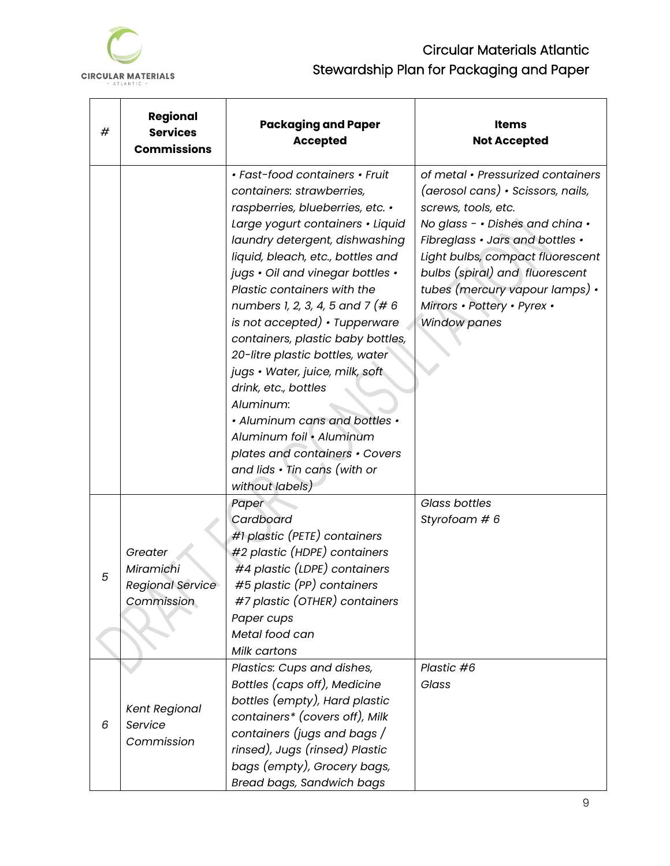

 $\blacksquare$ 

# Circular Materials Atlantic Stewardship Plan for Packaging and Paper

| # | Regional<br><b>Services</b><br><b>Commissions</b> | <b>Packaging and Paper</b><br><b>Accepted</b>                                                                                                                                                                                                                                                                                                                                                                                                                                                                                                                                                                                                               | <b>Items</b><br><b>Not Accepted</b>                                                                                                                                                                                                                                                                                               |
|---|---------------------------------------------------|-------------------------------------------------------------------------------------------------------------------------------------------------------------------------------------------------------------------------------------------------------------------------------------------------------------------------------------------------------------------------------------------------------------------------------------------------------------------------------------------------------------------------------------------------------------------------------------------------------------------------------------------------------------|-----------------------------------------------------------------------------------------------------------------------------------------------------------------------------------------------------------------------------------------------------------------------------------------------------------------------------------|
|   |                                                   | • Fast-food containers • Fruit<br>containers: strawberries,<br>raspberries, blueberries, etc. •<br>Large yogurt containers · Liquid<br>laundry detergent, dishwashing<br>liquid, bleach, etc., bottles and<br>jugs . Oil and vinegar bottles .<br>Plastic containers with the<br>numbers 1, 2, 3, 4, 5 and 7 (# 6)<br>is not accepted) • Tupperware<br>containers, plastic baby bottles,<br>20-litre plastic bottles, water<br>jugs • Water, juice, milk, soft<br>drink, etc., bottles<br>Aluminum:<br>• Aluminum cans and bottles •<br>Aluminum foil • Aluminum<br>plates and containers • Covers<br>and lids $\cdot$ Tin cans (with or<br>without labels) | of metal • Pressurized containers<br>(aerosol cans) • Scissors, nails,<br>screws, tools, etc.<br>No glass - . Dishes and china .<br>Fibreglass . Jars and bottles .<br>Light bulbs, compact fluorescent<br>bulbs (spiral) and fluorescent<br>tubes (mercury vapour lamps) .<br>Mirrors · Pottery · Pyrex ·<br><b>Window panes</b> |
|   |                                                   | Paper                                                                                                                                                                                                                                                                                                                                                                                                                                                                                                                                                                                                                                                       | Glass bottles                                                                                                                                                                                                                                                                                                                     |
|   |                                                   | Cardboard                                                                                                                                                                                                                                                                                                                                                                                                                                                                                                                                                                                                                                                   | Styrofoam # 6                                                                                                                                                                                                                                                                                                                     |
|   |                                                   | #1 plastic (PETE) containers                                                                                                                                                                                                                                                                                                                                                                                                                                                                                                                                                                                                                                |                                                                                                                                                                                                                                                                                                                                   |
|   | Greater                                           | #2 plastic (HDPE) containers                                                                                                                                                                                                                                                                                                                                                                                                                                                                                                                                                                                                                                |                                                                                                                                                                                                                                                                                                                                   |
| 5 | Miramichi                                         | #4 plastic (LDPE) containers                                                                                                                                                                                                                                                                                                                                                                                                                                                                                                                                                                                                                                |                                                                                                                                                                                                                                                                                                                                   |
|   | Regional Service                                  | #5 plastic (PP) containers                                                                                                                                                                                                                                                                                                                                                                                                                                                                                                                                                                                                                                  |                                                                                                                                                                                                                                                                                                                                   |
|   | Commission                                        | #7 plastic (OTHER) containers                                                                                                                                                                                                                                                                                                                                                                                                                                                                                                                                                                                                                               |                                                                                                                                                                                                                                                                                                                                   |
|   |                                                   | Paper cups                                                                                                                                                                                                                                                                                                                                                                                                                                                                                                                                                                                                                                                  |                                                                                                                                                                                                                                                                                                                                   |
|   |                                                   | Metal food can                                                                                                                                                                                                                                                                                                                                                                                                                                                                                                                                                                                                                                              |                                                                                                                                                                                                                                                                                                                                   |
|   |                                                   | Milk cartons                                                                                                                                                                                                                                                                                                                                                                                                                                                                                                                                                                                                                                                |                                                                                                                                                                                                                                                                                                                                   |
|   |                                                   | Plastics: Cups and dishes,                                                                                                                                                                                                                                                                                                                                                                                                                                                                                                                                                                                                                                  | Plastic #6                                                                                                                                                                                                                                                                                                                        |
|   |                                                   | Bottles (caps off), Medicine                                                                                                                                                                                                                                                                                                                                                                                                                                                                                                                                                                                                                                | Glass                                                                                                                                                                                                                                                                                                                             |
|   | <b>Kent Regional</b>                              | bottles (empty), Hard plastic                                                                                                                                                                                                                                                                                                                                                                                                                                                                                                                                                                                                                               |                                                                                                                                                                                                                                                                                                                                   |
| 6 | Service                                           | containers* (covers off), Milk                                                                                                                                                                                                                                                                                                                                                                                                                                                                                                                                                                                                                              |                                                                                                                                                                                                                                                                                                                                   |
|   | Commission                                        | containers (jugs and bags /                                                                                                                                                                                                                                                                                                                                                                                                                                                                                                                                                                                                                                 |                                                                                                                                                                                                                                                                                                                                   |
|   |                                                   | rinsed), Jugs (rinsed) Plastic                                                                                                                                                                                                                                                                                                                                                                                                                                                                                                                                                                                                                              |                                                                                                                                                                                                                                                                                                                                   |
|   |                                                   | bags (empty), Grocery bags,                                                                                                                                                                                                                                                                                                                                                                                                                                                                                                                                                                                                                                 |                                                                                                                                                                                                                                                                                                                                   |
|   |                                                   | Bread bags, Sandwich bags                                                                                                                                                                                                                                                                                                                                                                                                                                                                                                                                                                                                                                   |                                                                                                                                                                                                                                                                                                                                   |

 $\overline{\phantom{0}}$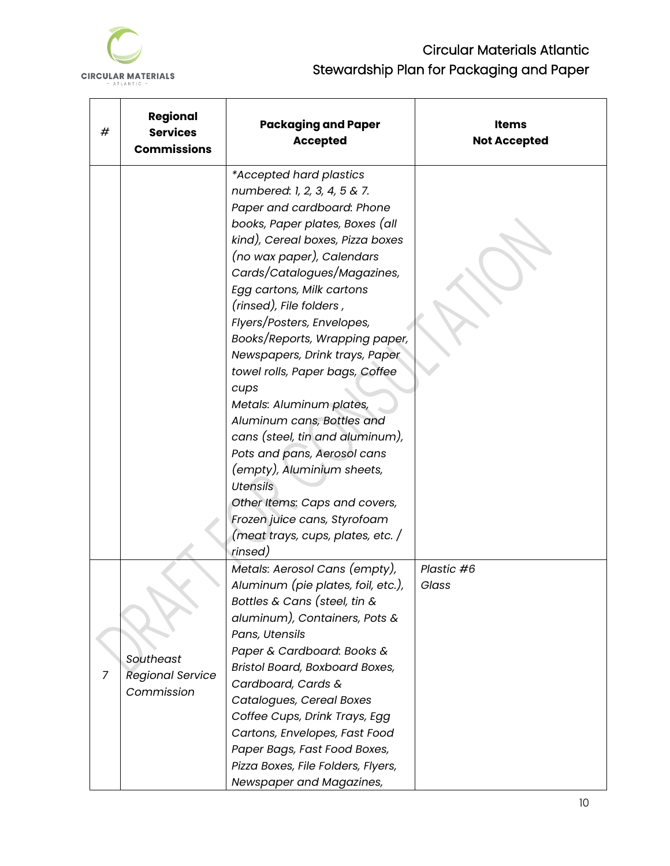

| # | Regional<br><b>Services</b><br><b>Commissions</b>  | <b>Packaging and Paper</b><br><b>Accepted</b>                                                                                                                                                                                                                                                                                                                                                                                                                                                                                                                                                                                                                                                                               | Items<br><b>Not Accepted</b> |
|---|----------------------------------------------------|-----------------------------------------------------------------------------------------------------------------------------------------------------------------------------------------------------------------------------------------------------------------------------------------------------------------------------------------------------------------------------------------------------------------------------------------------------------------------------------------------------------------------------------------------------------------------------------------------------------------------------------------------------------------------------------------------------------------------------|------------------------------|
|   |                                                    | *Accepted hard plastics<br>numbered: 1, 2, 3, 4, 5 & 7.<br>Paper and cardboard: Phone<br>books, Paper plates, Boxes (all<br>kind), Cereal boxes, Pizza boxes<br>(no wax paper), Calendars<br>Cards/Catalogues/Magazines,<br>Egg cartons, Milk cartons<br>(rinsed), File folders,<br>Flyers/Posters, Envelopes,<br>Books/Reports, Wrapping paper,<br>Newspapers, Drink trays, Paper<br>towel rolls, Paper bags, Coffee<br>cups<br>Metals: Aluminum plates,<br>Aluminum cans, Bottles and<br>cans (steel, tin and aluminum),<br>Pots and pans, Aerosol cans<br>(empty), Aluminium sheets,<br><b>Utensils</b><br>Other Items: Caps and covers,<br>Frozen juice cans, Styrofoam<br>(meat trays, cups, plates, etc. /<br>rinsed) |                              |
| 7 | Southeast<br><b>Regional Service</b><br>Commission | Metals: Aerosol Cans (empty),<br>Aluminum (pie plates, foil, etc.),<br>Bottles & Cans (steel, tin $\&$<br>aluminum), Containers, Pots &<br>Pans, Utensils<br>Paper & Cardboard: Books &<br>Bristol Board, Boxboard Boxes,<br>Cardboard, Cards &<br>Catalogues, Cereal Boxes<br>Coffee Cups, Drink Trays, Egg<br>Cartons, Envelopes, Fast Food<br>Paper Bags, Fast Food Boxes,<br>Pizza Boxes, File Folders, Flyers,<br>Newspaper and Magazines,                                                                                                                                                                                                                                                                             | Plastic #6<br>Glass          |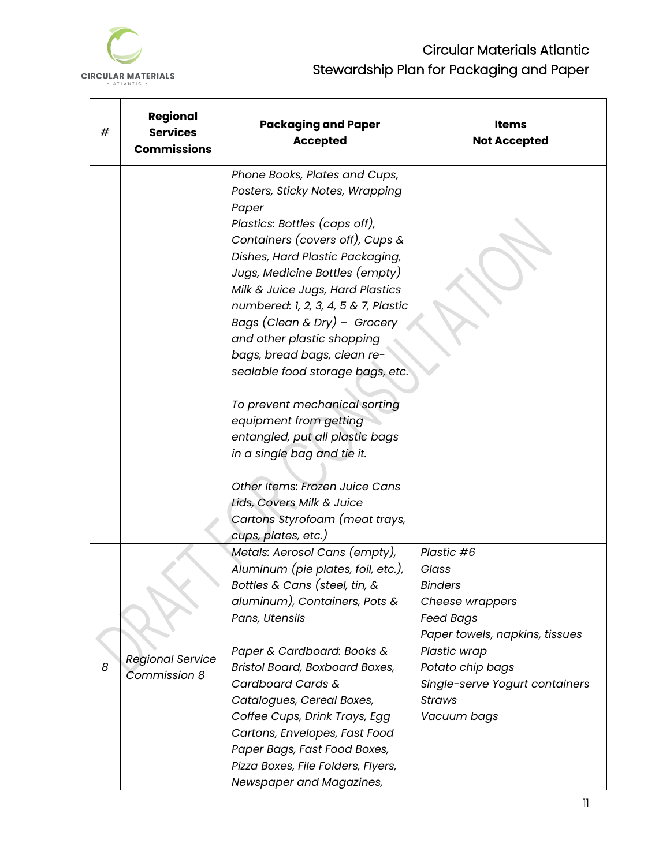

| # | Regional<br><b>Services</b><br><b>Commissions</b> | <b>Packaging and Paper</b><br><b>Accepted</b>                                                                                                                                                                                                                                                                                                                                                                                   | Items<br><b>Not Accepted</b>   |
|---|---------------------------------------------------|---------------------------------------------------------------------------------------------------------------------------------------------------------------------------------------------------------------------------------------------------------------------------------------------------------------------------------------------------------------------------------------------------------------------------------|--------------------------------|
|   |                                                   | Phone Books, Plates and Cups,<br>Posters, Sticky Notes, Wrapping<br>Paper<br>Plastics: Bottles (caps off),<br>Containers (covers off), Cups &<br>Dishes, Hard Plastic Packaging,<br>Jugs, Medicine Bottles (empty)<br>Milk & Juice Jugs, Hard Plastics<br>numbered: 1, 2, 3, 4, 5 & 7, Plastic<br>Bags (Clean & Dry) - Grocery<br>and other plastic shopping<br>bags, bread bags, clean re-<br>sealable food storage bags, etc. |                                |
|   |                                                   | To prevent mechanical sorting<br>equipment from getting<br>entangled, put all plastic bags                                                                                                                                                                                                                                                                                                                                      |                                |
|   |                                                   | in a single bag and tie it.<br>Other Items: Frozen Juice Cans<br>Lids, Covers Milk & Juice                                                                                                                                                                                                                                                                                                                                      |                                |
|   |                                                   | Cartons Styrofoam (meat trays,<br>cups, plates, etc.)                                                                                                                                                                                                                                                                                                                                                                           |                                |
|   |                                                   | Metals: Aerosol Cans (empty),                                                                                                                                                                                                                                                                                                                                                                                                   | Plastic #6                     |
|   |                                                   | Aluminum (pie plates, foil, etc.),                                                                                                                                                                                                                                                                                                                                                                                              | Glass                          |
|   |                                                   | Bottles & Cans (steel, tin, &                                                                                                                                                                                                                                                                                                                                                                                                   | <b>Binders</b>                 |
|   |                                                   | aluminum), Containers, Pots &                                                                                                                                                                                                                                                                                                                                                                                                   | Cheese wrappers                |
|   |                                                   | Pans, Utensils                                                                                                                                                                                                                                                                                                                                                                                                                  | <b>Feed Bags</b>               |
|   |                                                   |                                                                                                                                                                                                                                                                                                                                                                                                                                 | Paper towels, napkins, tissues |
|   |                                                   | Paper & Cardboard: Books &                                                                                                                                                                                                                                                                                                                                                                                                      | Plastic wrap                   |
| 8 | <b>Regional Service</b>                           | Bristol Board, Boxboard Boxes,                                                                                                                                                                                                                                                                                                                                                                                                  | Potato chip bags               |
|   | Commission 8                                      | Cardboard Cards &                                                                                                                                                                                                                                                                                                                                                                                                               | Single-serve Yogurt containers |
|   |                                                   | Catalogues, Cereal Boxes,                                                                                                                                                                                                                                                                                                                                                                                                       | <b>Straws</b>                  |
|   |                                                   | Coffee Cups, Drink Trays, Egg                                                                                                                                                                                                                                                                                                                                                                                                   | Vacuum bags                    |
|   |                                                   | Cartons, Envelopes, Fast Food                                                                                                                                                                                                                                                                                                                                                                                                   |                                |
|   |                                                   | Paper Bags, Fast Food Boxes,                                                                                                                                                                                                                                                                                                                                                                                                    |                                |
|   |                                                   | Pizza Boxes, File Folders, Flyers,                                                                                                                                                                                                                                                                                                                                                                                              |                                |
|   |                                                   | Newspaper and Magazines,                                                                                                                                                                                                                                                                                                                                                                                                        |                                |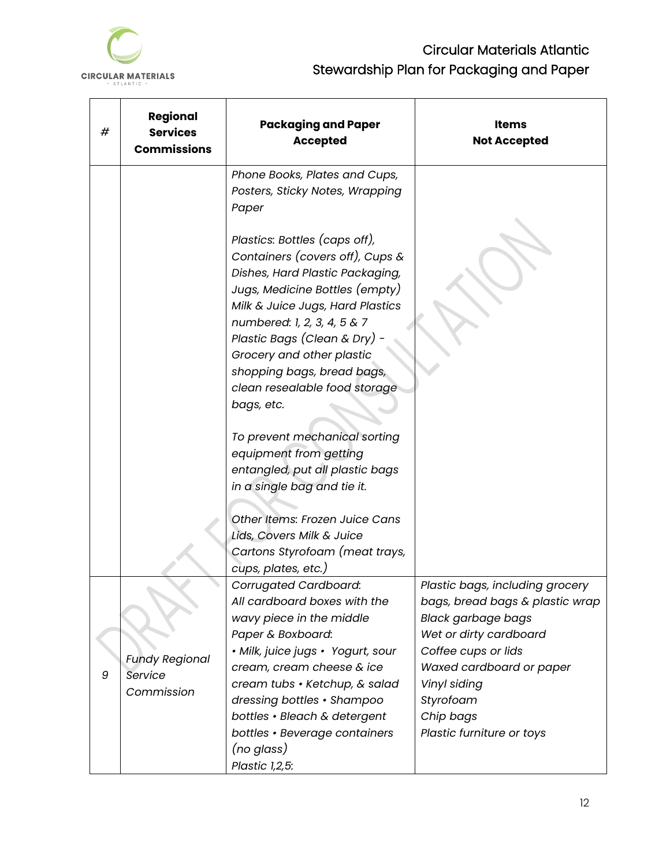

| # | Regional<br><b>Services</b><br><b>Commissions</b> | <b>Packaging and Paper</b><br><b>Accepted</b>                                                                                                                                                                                                                                                                                                         | Items<br><b>Not Accepted</b>                                                                                                                                                                              |
|---|---------------------------------------------------|-------------------------------------------------------------------------------------------------------------------------------------------------------------------------------------------------------------------------------------------------------------------------------------------------------------------------------------------------------|-----------------------------------------------------------------------------------------------------------------------------------------------------------------------------------------------------------|
|   |                                                   | Phone Books, Plates and Cups,<br>Posters, Sticky Notes, Wrapping<br>Paper                                                                                                                                                                                                                                                                             |                                                                                                                                                                                                           |
|   |                                                   | Plastics: Bottles (caps off),<br>Containers (covers off), Cups $\&$<br>Dishes, Hard Plastic Packaging,<br>Jugs, Medicine Bottles (empty)<br>Milk & Juice Jugs, Hard Plastics<br>numbered: 1, 2, 3, 4, 5 & 7<br>Plastic Bags (Clean & Dry) -<br>Grocery and other plastic<br>shopping bags, bread bags,<br>clean resealable food storage<br>bags, etc. |                                                                                                                                                                                                           |
|   |                                                   | To prevent mechanical sorting<br>equipment from getting<br>entangled, put all plastic bags<br>in a single bag and tie it.                                                                                                                                                                                                                             |                                                                                                                                                                                                           |
|   |                                                   | Other Items: Frozen Juice Cans<br>Lids, Covers Milk & Juice<br>Cartons Styrofoam (meat trays,<br>cups, plates, etc.)                                                                                                                                                                                                                                  |                                                                                                                                                                                                           |
| 9 | <b>Fundy Regional</b><br>Service<br>Commission    | <b>Corrugated Cardboard:</b><br>All cardboard boxes with the<br>wavy piece in the middle<br>Paper & Boxboard:<br>• Milk, juice jugs • Yogurt, sour<br>cream, cream cheese & ice<br>cream tubs • Ketchup, & salad<br>dressing bottles • Shampoo                                                                                                        | Plastic bags, including grocery<br>bags, bread bags & plastic wrap<br><b>Black garbage bags</b><br>Wet or dirty cardboard<br>Coffee cups or lids<br>Waxed cardboard or paper<br>Vinyl siding<br>Styrofoam |
|   |                                                   | bottles · Bleach & detergent<br>bottles • Beverage containers<br>(no glass)<br>Plastic 1,2,5:                                                                                                                                                                                                                                                         | Chip bags<br>Plastic furniture or toys                                                                                                                                                                    |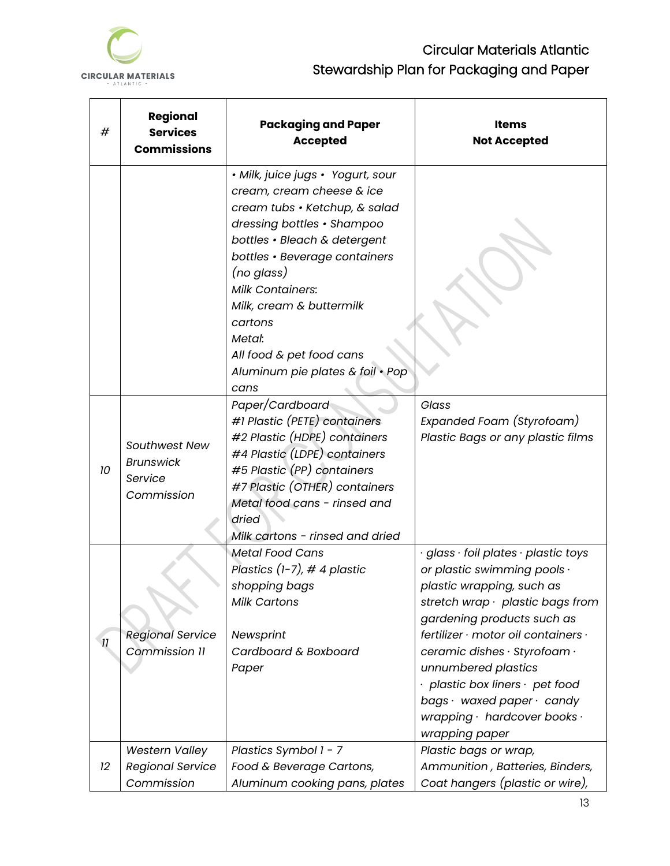

| #                        | Regional<br><b>Services</b><br><b>Commissions</b>          | <b>Packaging and Paper</b><br><b>Accepted</b>                                                                                                                                                                                                                                                                                                                    | <b>Items</b><br><b>Not Accepted</b>                                                                                                                                                                                                                                                                                                                                                                                         |
|--------------------------|------------------------------------------------------------|------------------------------------------------------------------------------------------------------------------------------------------------------------------------------------------------------------------------------------------------------------------------------------------------------------------------------------------------------------------|-----------------------------------------------------------------------------------------------------------------------------------------------------------------------------------------------------------------------------------------------------------------------------------------------------------------------------------------------------------------------------------------------------------------------------|
|                          |                                                            | • Milk, juice jugs • Yogurt, sour<br>cream, cream cheese & ice<br>cream tubs • Ketchup, & salad<br>dressing bottles • Shampoo<br>bottles · Bleach & detergent<br>bottles · Beverage containers<br>(no glass)<br><b>Milk Containers:</b><br>Milk, cream & buttermilk<br>cartons<br>Metal:<br>All food & pet food cans<br>Aluminum pie plates & foil · Pop<br>cans |                                                                                                                                                                                                                                                                                                                                                                                                                             |
| 10                       | Southwest New<br><b>Brunswick</b><br>Service<br>Commission | Paper/Cardboard<br>#1 Plastic (PETE) containers<br>#2 Plastic (HDPE) containers<br>#4 Plastic (LDPE) containers<br>#5 Plastic (PP) containers<br>#7 Plastic (OTHER) containers<br>Metal food cans - rinsed and<br>dried<br>Milk cartons - rinsed and dried                                                                                                       | Glass<br>Expanded Foam (Styrofoam)<br>Plastic Bags or any plastic films                                                                                                                                                                                                                                                                                                                                                     |
| $\overline{\mathcal{U}}$ | <b>Regional Service</b><br>Commission 11                   | <b>Metal Food Cans</b><br>Plastics $(1-7)$ , # 4 plastic<br>shopping bags<br><b>Milk Cartons</b><br>Newsprint<br>Cardboard & Boxboard<br>Paper                                                                                                                                                                                                                   | glass $\cdot$ foil plates $\cdot$ plastic toys<br>or plastic swimming pools .<br>plastic wrapping, such as<br>stretch wrap $\cdot$ plastic bags from<br>gardening products such as<br>fertilizer · motor oil containers ·<br>ceramic dishes · Styrofoam ·<br>unnumbered plastics<br>$\cdot$ plastic box liners $\cdot$ pet food<br>bags $\cdot$ waxed paper $\cdot$ candy<br>wrapping · hardcover books ·<br>wrapping paper |
| 12                       | Western Valley<br><b>Regional Service</b><br>Commission    | Plastics Symbol 1 - 7<br>Food & Beverage Cartons,<br>Aluminum cooking pans, plates                                                                                                                                                                                                                                                                               | Plastic bags or wrap,<br>Ammunition, Batteries, Binders,<br>Coat hangers (plastic or wire),                                                                                                                                                                                                                                                                                                                                 |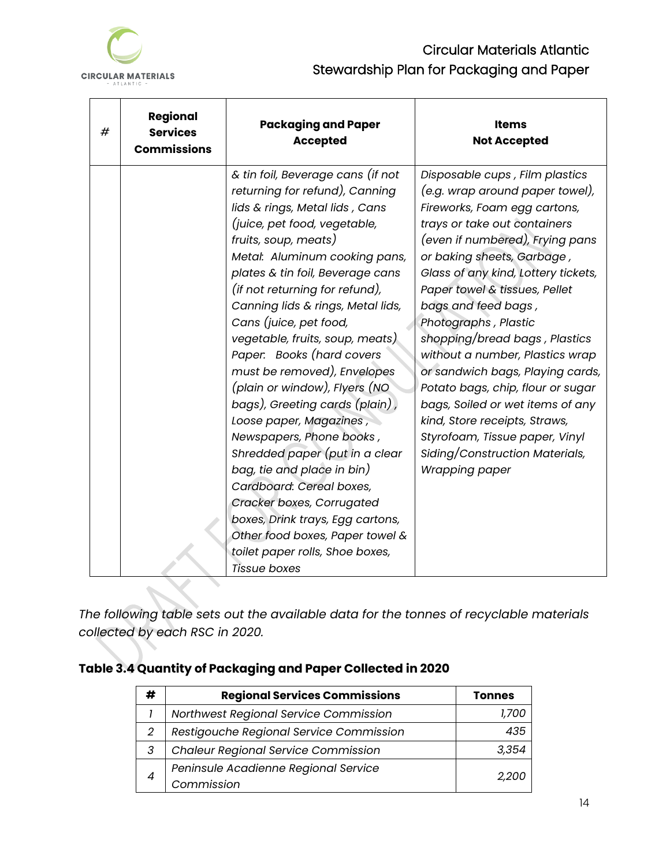

| # | Regional<br><b>Services</b><br><b>Commissions</b> | <b>Packaging and Paper</b><br><b>Accepted</b>                                                                                                                                                                                                                                                                                                                                                                                                                                                                                                                                                                                                                                                                                                                                                                          | <b>Items</b><br><b>Not Accepted</b>                                                                                                                                                                                                                                                                                                                                                                                                                                                                                                                                                                                               |
|---|---------------------------------------------------|------------------------------------------------------------------------------------------------------------------------------------------------------------------------------------------------------------------------------------------------------------------------------------------------------------------------------------------------------------------------------------------------------------------------------------------------------------------------------------------------------------------------------------------------------------------------------------------------------------------------------------------------------------------------------------------------------------------------------------------------------------------------------------------------------------------------|-----------------------------------------------------------------------------------------------------------------------------------------------------------------------------------------------------------------------------------------------------------------------------------------------------------------------------------------------------------------------------------------------------------------------------------------------------------------------------------------------------------------------------------------------------------------------------------------------------------------------------------|
|   |                                                   | & tin foil, Beverage cans (if not<br>returning for refund), Canning<br>lids & rings, Metal lids, Cans<br>(juice, pet food, vegetable,<br>fruits, soup, meats)<br>Metal: Aluminum cooking pans,<br>plates & tin foil, Beverage cans<br>(if not returning for refund),<br>Canning lids & rings, Metal lids,<br>Cans (juice, pet food,<br>vegetable, fruits, soup, meats)<br>Paper. Books (hard covers<br>must be removed), Envelopes<br>(plain or window), Flyers (NO<br>bags), Greeting cards (plain),<br>Loose paper, Magazines,<br>Newspapers, Phone books,<br>Shredded paper (put in a clear<br>bag, tie and place in bin)<br>Cardboard: Cereal boxes,<br>Cracker boxes, Corrugated<br>boxes, Drink trays, Egg cartons,<br>Other food boxes, Paper towel &<br>toilet paper rolls, Shoe boxes,<br><b>Tissue boxes</b> | Disposable cups, Film plastics<br>(e.g. wrap around paper towel),<br>Fireworks, Foam egg cartons,<br>trays or take out containers<br>(even if numbered), Frying pans<br>or baking sheets, Garbage,<br>Glass of any kind, Lottery tickets,<br>Paper towel & tissues, Pellet<br>bags and feed bags,<br>Photographs, Plastic<br>shopping/bread bags, Plastics<br>without a number, Plastics wrap<br>or sandwich bags, Playing cards,<br>Potato bags, chip, flour or sugar<br>bags, Soiled or wet items of any<br>kind, Store receipts, Straws,<br>Styrofoam, Tissue paper, Vinyl<br>Siding/Construction Materials,<br>Wrapping paper |

*The following table sets out the available data for the tonnes of recyclable materials collected by each RSC in 2020.* 

# **Table 3.4 Quantity of Packaging and Paper Collected in 2020**

| # | <b>Regional Services Commissions</b>       | <b>Tonnes</b> |
|---|--------------------------------------------|---------------|
|   | Northwest Regional Service Commission      | 1./OC         |
| 2 | Restigouche Regional Service Commission    | 435           |
| 3 | <b>Chaleur Regional Service Commission</b> | 3,354         |
|   | Peninsule Acadienne Regional Service       |               |
| 4 | Commission                                 | <i>2.200</i>  |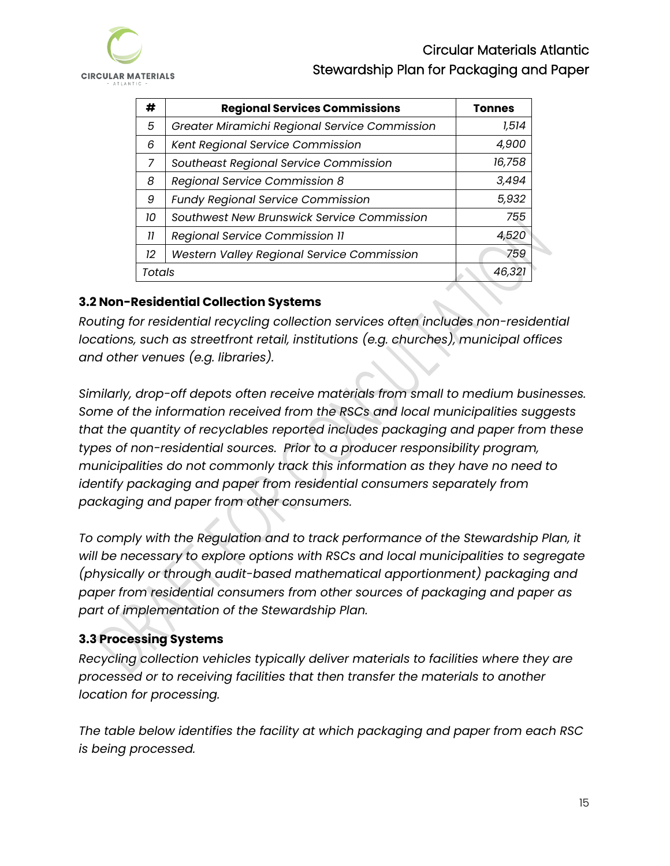

| #      | <b>Regional Services Commissions</b>          | <b>Tonnes</b> |
|--------|-----------------------------------------------|---------------|
| 5      | Greater Miramichi Regional Service Commission | 1,514         |
| 6      | Kent Regional Service Commission              | 4,900         |
| 7      | Southeast Regional Service Commission         | 16,758        |
| 8      | Regional Service Commission 8                 | 3,494         |
| 9      | <b>Fundy Regional Service Commission</b>      | 5,932         |
| 10     | Southwest New Brunswick Service Commission    | 755           |
| 11     | Regional Service Commission II                | 4,520         |
| 12     | Western Valley Regional Service Commission    | 759           |
| Totals |                                               | 46,321        |

### <span id="page-17-0"></span>**3.2 Non-Residential Collection Systems**

*Routing for residential recycling collection services often includes non-residential locations, such as streetfront retail, institutions (e.g. churches), municipal offices and other venues (e.g. libraries).* 

*Similarly, drop-off depots often receive materials from small to medium businesses. Some of the information received from the RSCs and local municipalities suggests that the quantity of recyclables reported includes packaging and paper from these types of non-residential sources. Prior to a producer responsibility program, municipalities do not commonly track this information as they have no need to identify packaging and paper from residential consumers separately from packaging and paper from other consumers.*

*To comply with the Regulation and to track performance of the Stewardship Plan, it will be necessary to explore options with RSCs and local municipalities to segregate (physically or through audit-based mathematical apportionment) packaging and paper from residential consumers from other sources of packaging and paper as part of implementation of the Stewardship Plan.* 

## <span id="page-17-1"></span>**3.3 Processing Systems**

*Recycling collection vehicles typically deliver materials to facilities where they are processed or to receiving facilities that then transfer the materials to another location for processing.*

*The table below identifies the facility at which packaging and paper from each RSC is being processed.*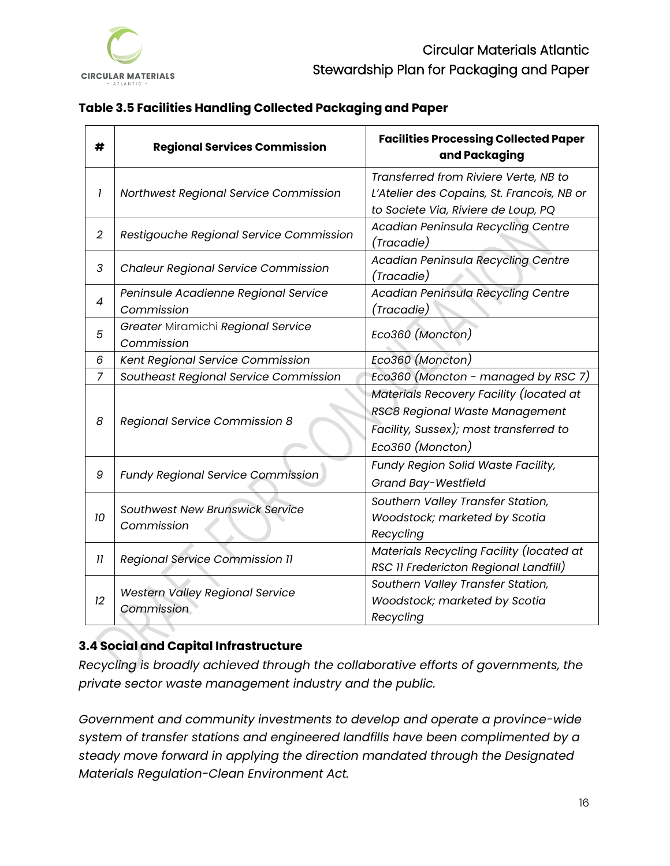

|  | Table 3.5 Facilities Handling Collected Packaging and Paper |  |
|--|-------------------------------------------------------------|--|
|  |                                                             |  |

| #              | <b>Regional Services Commission</b>                  | <b>Facilities Processing Collected Paper</b><br>and Packaging                                                                           |
|----------------|------------------------------------------------------|-----------------------------------------------------------------------------------------------------------------------------------------|
| 1              | Northwest Regional Service Commission                | Transferred from Riviere Verte, NB to<br>L'Atelier des Copains, St. Francois, NB or<br>to Societe Via, Riviere de Loup, PQ              |
| $\overline{2}$ | Restigouche Regional Service Commission              | Acadian Peninsula Recycling Centre<br>(Tracadie)                                                                                        |
| 3              | <b>Chaleur Regional Service Commission</b>           | Acadian Peninsula Recycling Centre<br>(Tracadie)                                                                                        |
| 4              | Peninsule Acadienne Regional Service<br>Commission   | <b>Acadian Peninsula Recycling Centre</b><br>(Tracadie)                                                                                 |
| 5              | Greater Miramichi Regional Service<br>Commission     | Eco360 (Moncton)                                                                                                                        |
| 6              | Kent Regional Service Commission                     | Eco360 (Moncton)                                                                                                                        |
| $\overline{7}$ | Southeast Regional Service Commission                | Eco360 (Moncton - managed by RSC 7)                                                                                                     |
| 8              | Regional Service Commission 8                        | Materials Recovery Facility (located at<br>RSC8 Regional Waste Management<br>Facility, Sussex); most transferred to<br>Eco360 (Moncton) |
| 9              | <b>Fundy Regional Service Commission</b>             | Fundy Region Solid Waste Facility,<br>Grand Bay-Westfield                                                                               |
| 10             | Southwest New Brunswick Service<br>Commission        | Southern Valley Transfer Station,<br>Woodstock; marketed by Scotia<br>Recycling                                                         |
| 11             | <b>Regional Service Commission 11</b>                | Materials Recycling Facility (located at<br>RSC 11 Fredericton Regional Landfill)                                                       |
| 12             | <b>Western Valley Regional Service</b><br>Commission | Southern Valley Transfer Station,<br>Woodstock; marketed by Scotia<br>Recycling                                                         |

## <span id="page-18-0"></span>**3.4 Social and Capital Infrastructure**

*Recycling is broadly achieved through the collaborative efforts of governments, the private sector waste management industry and the public.*

*Government and community investments to develop and operate a province-wide system of transfer stations and engineered landfills have been complimented by a steady move forward in applying the direction mandated through the Designated Materials Regulation-Clean Environment Act.*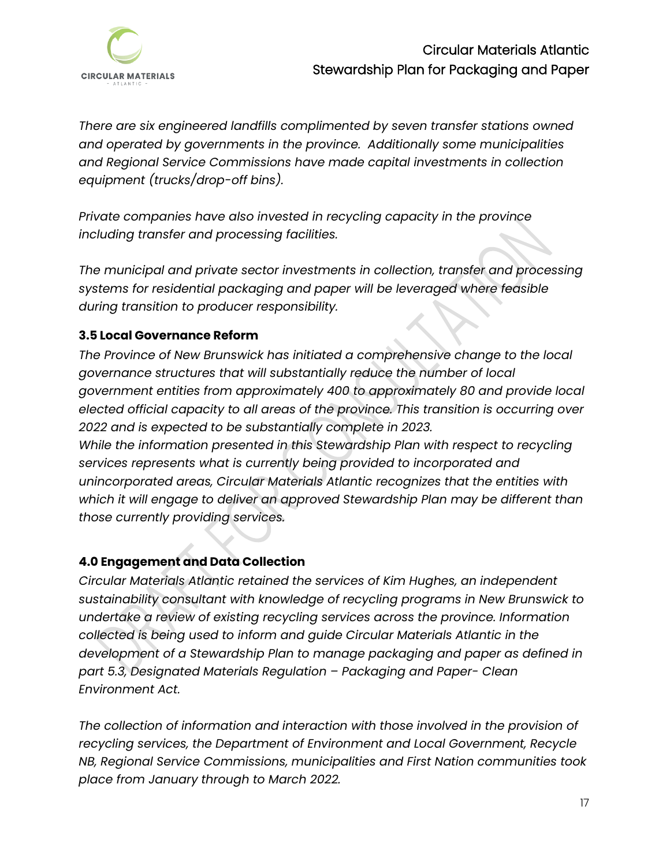

*There are six engineered landfills complimented by seven transfer stations owned and operated by governments in the province. Additionally some municipalities and Regional Service Commissions have made capital investments in collection equipment (trucks/drop-off bins).* 

*Private companies have also invested in recycling capacity in the province including transfer and processing facilities.* 

*The municipal and private sector investments in collection, transfer and processing systems for residential packaging and paper will be leveraged where feasible during transition to producer responsibility.* 

### <span id="page-19-0"></span>**3.5 Local Governance Reform**

*The Province of New Brunswick has initiated a comprehensive change to the local governance structures that will substantially reduce the number of local government entities from approximately 400 to approximately 80 and provide local elected official capacity to all areas of the province. This transition is occurring over 2022 and is expected to be substantially complete in 2023. While the information presented in this Stewardship Plan with respect to recycling services represents what is currently being provided to incorporated and unincorporated areas, Circular Materials Atlantic recognizes that the entities with which it will engage to deliver an approved Stewardship Plan may be different than those currently providing services.* 

#### <span id="page-19-1"></span>**4.0 Engagement and Data Collection**

*Circular Materials Atlantic retained the services of Kim Hughes, an independent sustainability consultant with knowledge of recycling programs in New Brunswick to undertake a review of existing recycling services across the province. Information collected is being used to inform and guide Circular Materials Atlantic in the development of a Stewardship Plan to manage packaging and paper as defined in part 5.3, Designated Materials Regulation – Packaging and Paper- Clean Environment Act.*

*The collection of information and interaction with those involved in the provision of recycling services, the Department of Environment and Local Government, Recycle NB, Regional Service Commissions, municipalities and First Nation communities took place from January through to March 2022.*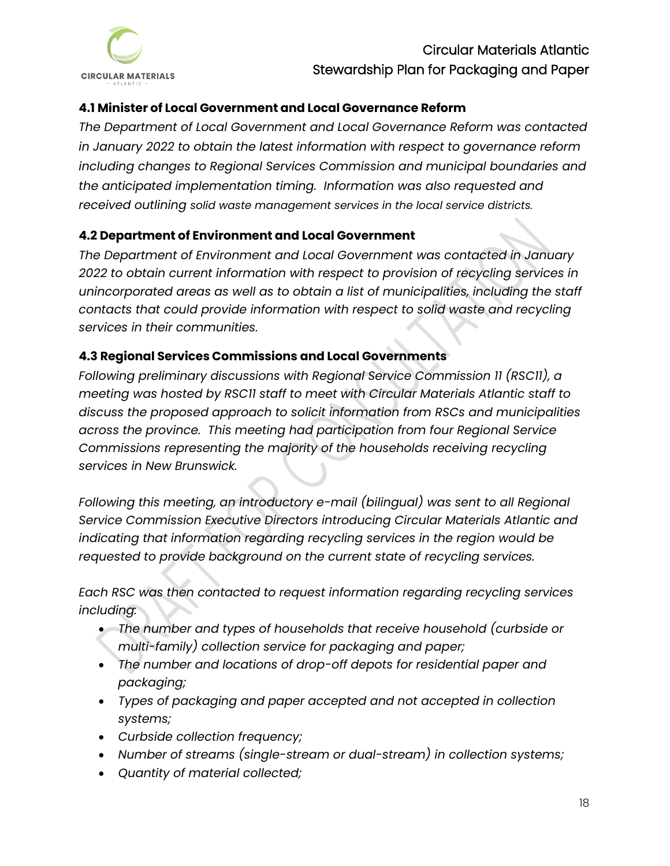

### <span id="page-20-0"></span>**4.1 Minister of Local Government and Local Governance Reform**

*The Department of Local Government and Local Governance Reform was contacted in January 2022 to obtain the latest information with respect to governance reform including changes to Regional Services Commission and municipal boundaries and the anticipated implementation timing. Information was also requested and received outlining solid waste management services in the local service districts.*

#### <span id="page-20-1"></span>**4.2 Department of Environment and Local Government**

*The Department of Environment and Local Government was contacted in January 2022 to obtain current information with respect to provision of recycling services in unincorporated areas as well as to obtain a list of municipalities, including the staff contacts that could provide information with respect to solid waste and recycling services in their communities.*

#### <span id="page-20-2"></span>**4.3 Regional Services Commissions and Local Governments**

*Following preliminary discussions with Regional Service Commission 11 (RSC11), a meeting was hosted by RSC11 staff to meet with Circular Materials Atlantic staff to discuss the proposed approach to solicit information from RSCs and municipalities across the province. This meeting had participation from four Regional Service Commissions representing the majority of the households receiving recycling services in New Brunswick.*

*Following this meeting, an introductory e-mail (bilingual) was sent to all Regional Service Commission Executive Directors introducing Circular Materials Atlantic and indicating that information regarding recycling services in the region would be requested to provide background on the current state of recycling services.*

*Each RSC was then contacted to request information regarding recycling services including:* 

- *The number and types of households that receive household (curbside or multi-family) collection service for packaging and paper;*
- *The number and locations of drop-off depots for residential paper and packaging;*
- *Types of packaging and paper accepted and not accepted in collection systems;*
- *Curbside collection frequency;*
- *Number of streams (single-stream or dual-stream) in collection systems;*
- *Quantity of material collected;*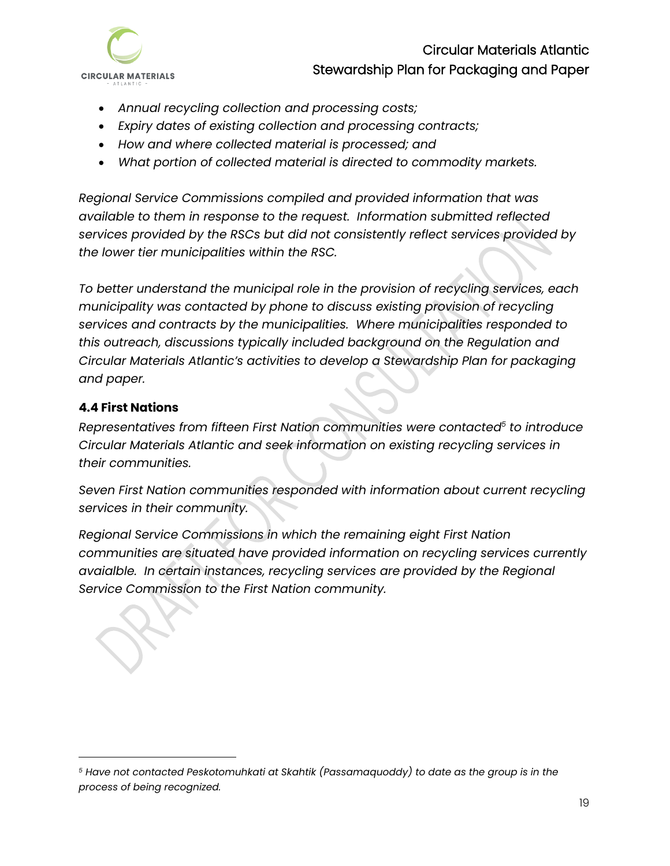

- *Annual recycling collection and processing costs;*
- *Expiry dates of existing collection and processing contracts;*
- *How and where collected material is processed; and*
- *What portion of collected material is directed to commodity markets.*

*Regional Service Commissions compiled and provided information that was available to them in response to the request. Information submitted reflected services provided by the RSCs but did not consistently reflect services provided by the lower tier municipalities within the RSC.* 

*To better understand the municipal role in the provision of recycling services, each municipality was contacted by phone to discuss existing provision of recycling services and contracts by the municipalities. Where municipalities responded to this outreach, discussions typically included background on the Regulation and Circular Materials Atlantic's activities to develop a Stewardship Plan for packaging and paper.*

#### <span id="page-21-0"></span>**4.4 First Nations**

*Representatives from fifteen First Nation communities were contacted<sup>5</sup> to introduce Circular Materials Atlantic and seek information on existing recycling services in their communities.* 

*Seven First Nation communities responded with information about current recycling services in their community.* 

*Regional Service Commissions in which the remaining eight First Nation communities are situated have provided information on recycling services currently avaialble. In certain instances, recycling services are provided by the Regional Service Commission to the First Nation community.*

*<sup>5</sup> Have not contacted Peskotomuhkati at Skahtik (Passamaquoddy) to date as the group is in the process of being recognized.*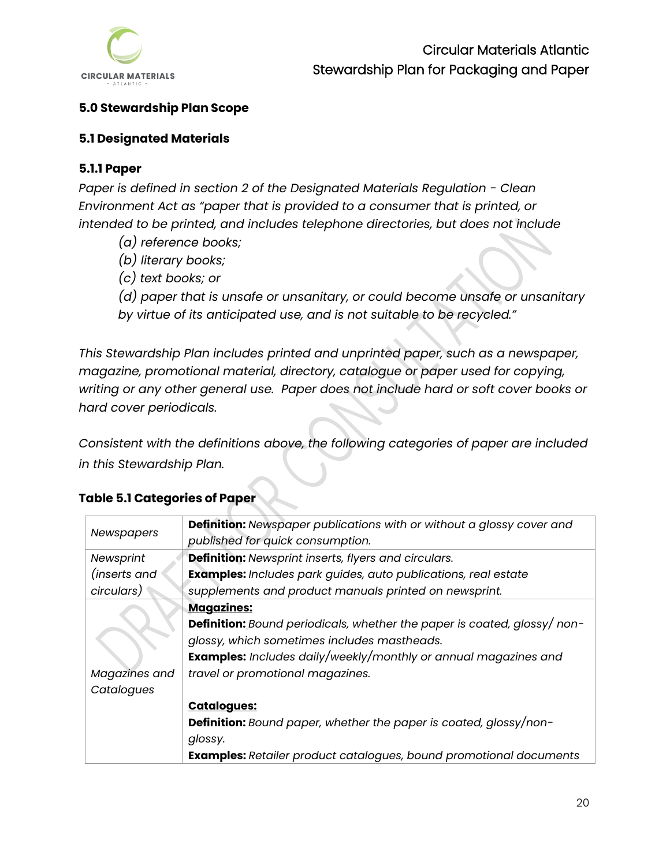

### <span id="page-22-0"></span>**5.0 Stewardship Plan Scope**

#### <span id="page-22-1"></span>**5.1 Designated Materials**

### <span id="page-22-2"></span>**5.1.1 Paper**

*Paper is defined in section 2 of the Designated Materials Regulation - Clean Environment Act as "paper that is provided to a consumer that is printed, or intended to be printed, and includes telephone directories, but does not include*

- *(a) reference books;*
- *(b) literary books;*
- *(c) text books; or*
- *(d) paper that is unsafe or unsanitary, or could become unsafe or unsanitary*
- *by virtue of its anticipated use, and is not suitable to be recycled."*

*This Stewardship Plan includes printed and unprinted paper, such as a newspaper, magazine, promotional material, directory, catalogue or paper used for copying, writing or any other general use. Paper does not include hard or soft cover books or hard cover periodicals.* 

*Consistent with the definitions above, the following categories of paper are included in this Stewardship Plan.*

|                   | Definition: Newspaper publications with or without a glossy cover and           |
|-------------------|---------------------------------------------------------------------------------|
| <b>Newspapers</b> | published for quick consumption.                                                |
| Newsprint         | <b>Definition:</b> Newsprint inserts, flyers and circulars.                     |
| (inserts and      | <b>Examples:</b> Includes park guides, auto publications, real estate           |
| circulars)        | supplements and product manuals printed on newsprint.                           |
|                   | <b>Magazines:</b>                                                               |
|                   | <b>Definition:</b> Bound periodicals, whether the paper is coated, glossy/ non- |
|                   | glossy, which sometimes includes mastheads.                                     |
|                   | <b>Examples:</b> Includes daily/weekly/monthly or annual magazines and          |
| Magazines and     | travel or promotional magazines.                                                |
| Catalogues        |                                                                                 |
|                   | <b>Catalogues:</b>                                                              |
|                   | <b>Definition:</b> Bound paper, whether the paper is coated, glossy/non-        |
|                   | glossy.                                                                         |
|                   | <b>Examples:</b> Retailer product catalogues, bound promotional documents       |

## **Table 5.1 Categories of Paper**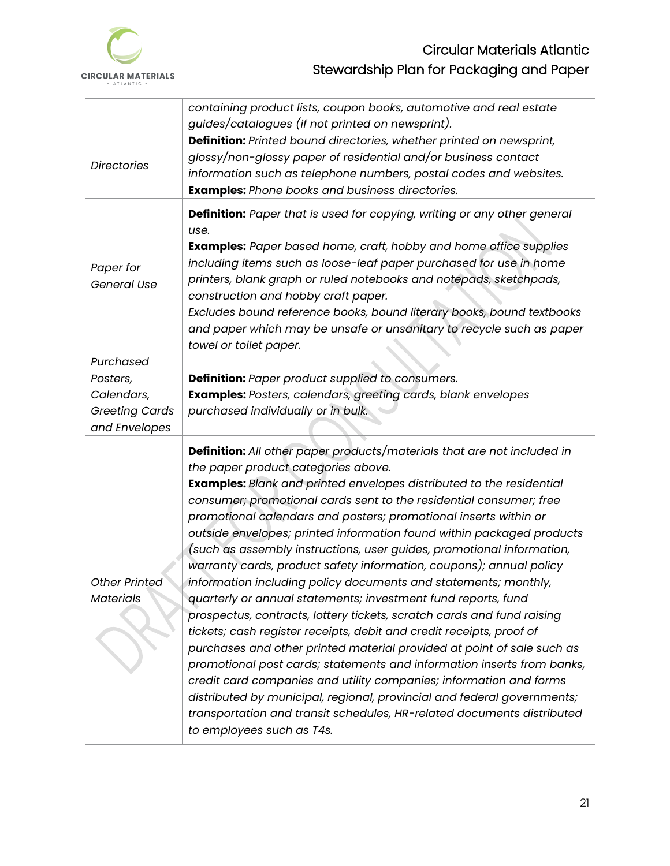

|                                                                               | containing product lists, coupon books, automotive and real estate<br>guides/catalogues (if not printed on newsprint).                                                                                                                                                                                                                                                                                                                                                                                                                                                                                                                                                                                                                                                                                                                                                                                                                                                                                                                                                                                                                                                                                                                                                    |
|-------------------------------------------------------------------------------|---------------------------------------------------------------------------------------------------------------------------------------------------------------------------------------------------------------------------------------------------------------------------------------------------------------------------------------------------------------------------------------------------------------------------------------------------------------------------------------------------------------------------------------------------------------------------------------------------------------------------------------------------------------------------------------------------------------------------------------------------------------------------------------------------------------------------------------------------------------------------------------------------------------------------------------------------------------------------------------------------------------------------------------------------------------------------------------------------------------------------------------------------------------------------------------------------------------------------------------------------------------------------|
| <b>Directories</b>                                                            | Definition: Printed bound directories, whether printed on newsprint,<br>glossy/non-glossy paper of residential and/or business contact<br>information such as telephone numbers, postal codes and websites.<br><b>Examples:</b> Phone books and business directories.                                                                                                                                                                                                                                                                                                                                                                                                                                                                                                                                                                                                                                                                                                                                                                                                                                                                                                                                                                                                     |
| Paper for<br>General Use                                                      | Definition: Paper that is used for copying, writing or any other general<br>use.<br><b>Examples:</b> Paper based home, craft, hobby and home office supplies<br>including items such as loose-leaf paper purchased for use in home<br>printers, blank graph or ruled notebooks and notepads, sketchpads,<br>construction and hobby craft paper.<br>Excludes bound reference books, bound literary books, bound textbooks<br>and paper which may be unsafe or unsanitary to recycle such as paper<br>towel or toilet paper.                                                                                                                                                                                                                                                                                                                                                                                                                                                                                                                                                                                                                                                                                                                                                |
| Purchased<br>Posters,<br>Calendars,<br><b>Greeting Cards</b><br>and Envelopes | Definition: Paper product supplied to consumers.<br>Examples: Posters, calendars, greeting cards, blank envelopes<br>purchased individually or in bulk.                                                                                                                                                                                                                                                                                                                                                                                                                                                                                                                                                                                                                                                                                                                                                                                                                                                                                                                                                                                                                                                                                                                   |
| <b>Other Printed</b><br><b>Materials</b>                                      | <b>Definition:</b> All other paper products/materials that are not included in<br>the paper product categories above.<br><b>Examples:</b> Blank and printed envelopes distributed to the residential<br>consumer; promotional cards sent to the residential consumer; free<br>promotional calendars and posters; promotional inserts within or<br>outside envelopes; printed information found within packaged products<br>(such as assembly instructions, user guides, promotional information,<br>warranty cards, product safety information, coupons); annual policy<br>information including policy documents and statements; monthly,<br>quarterly or annual statements; investment fund reports, fund<br>prospectus, contracts, lottery tickets, scratch cards and fund raising<br>tickets; cash register receipts, debit and credit receipts, proof of<br>purchases and other printed material provided at point of sale such as<br>promotional post cards; statements and information inserts from banks,<br>credit card companies and utility companies; information and forms<br>distributed by municipal, regional, provincial and federal governments;<br>transportation and transit schedules, HR-related documents distributed<br>to employees such as T4s. |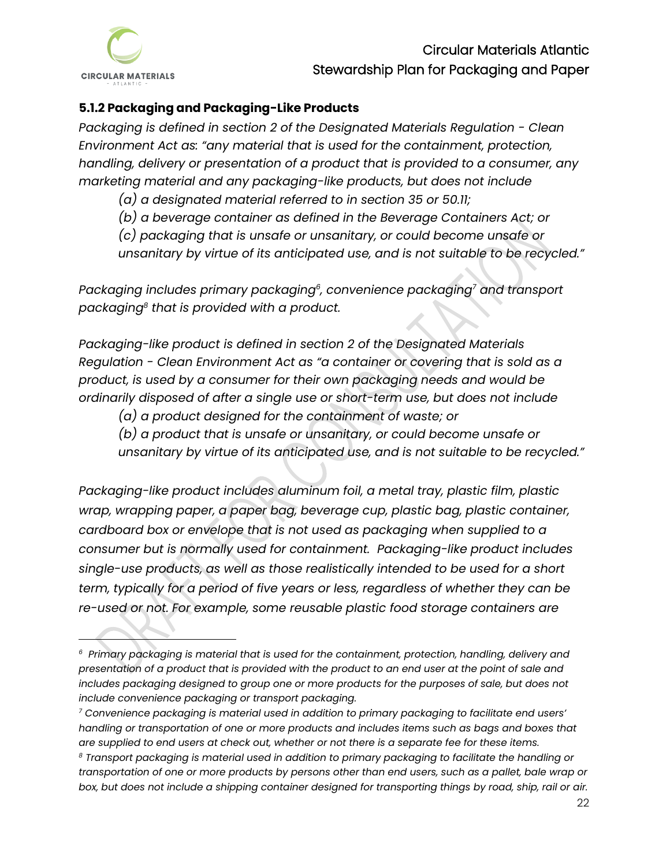

### <span id="page-24-0"></span>**5.1.2 Packaging and Packaging-Like Products**

*Packaging is defined in section 2 of the Designated Materials Regulation - Clean Environment Act as: "any material that is used for the containment, protection, handling, delivery or presentation of a product that is provided to a consumer, any marketing material and any packaging-like products, but does not include* 

*(a) a designated material referred to in section 35 or 50.11;*

*(b) a beverage container as defined in the Beverage Containers Act; or*

*(c) packaging that is unsafe or unsanitary, or could become unsafe or* 

*unsanitary by virtue of its anticipated use, and is not suitable to be recycled."* 

*Packaging includes primary packaging<sup>6</sup> , convenience packaging<sup>7</sup> and transport packaging<sup>8</sup> that is provided with a product.* 

*Packaging-like product is defined in section 2 of the Designated Materials Regulation - Clean Environment Act as "a container or covering that is sold as a product, is used by a consumer for their own packaging needs and would be ordinarily disposed of after a single use or short-term use, but does not include*

*(a) a product designed for the containment of waste; or*

*(b) a product that is unsafe or unsanitary, or could become unsafe or unsanitary by virtue of its anticipated use, and is not suitable to be recycled."* 

*Packaging-like product includes aluminum foil, a metal tray, plastic film, plastic wrap, wrapping paper, a paper bag, beverage cup, plastic bag, plastic container, cardboard box or envelope that is not used as packaging when supplied to a consumer but is normally used for containment. Packaging-like product includes single-use products, as well as those realistically intended to be used for a short term, typically for a period of five years or less, regardless of whether they can be re-used or not. For example, some reusable plastic food storage containers are* 

*<sup>6</sup> Primary packaging is material that is used for the containment, protection, handling, delivery and presentation of a product that is provided with the product to an end user at the point of sale and*  includes packaging designed to group one or more products for the purposes of sale, but does not *include convenience packaging or transport packaging.* 

*<sup>7</sup> Convenience packaging is material used in addition to primary packaging to facilitate end users' handling or transportation of one or more products and includes items such as bags and boxes that are supplied to end users at check out, whether or not there is a separate fee for these items. <sup>8</sup> Transport packaging is material used in addition to primary packaging to facilitate the handling or transportation of one or more products by persons other than end users, such as a pallet, bale wrap or box, but does not include a shipping container designed for transporting things by road, ship, rail or air.*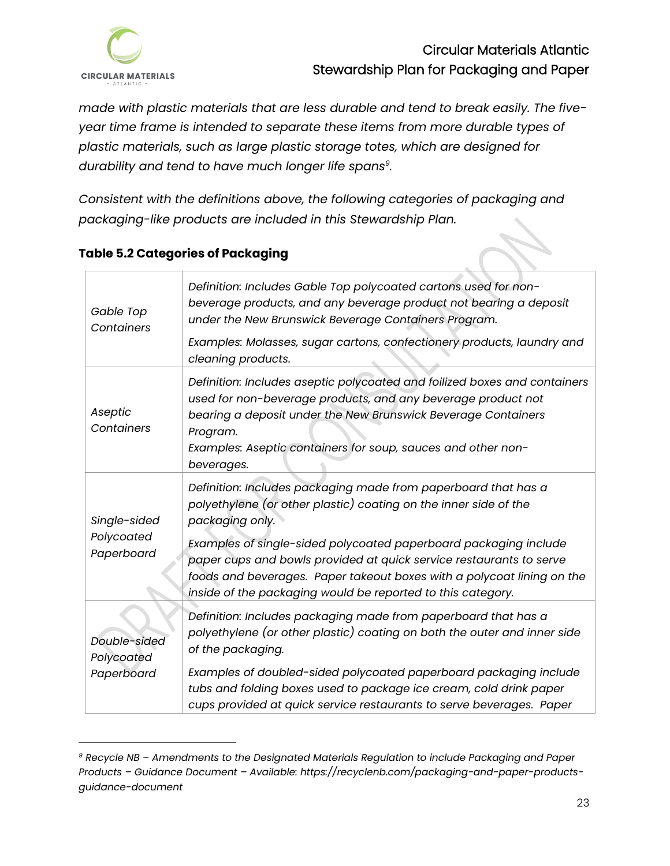

*made with plastic materials that are less durable and tend to break easily. The fiveyear time frame is intended to separate these items from more durable types of plastic materials, such as large plastic storage totes, which are designed for durability and tend to have much longer life spans<sup>9</sup> .* 

*Consistent with the definitions above, the following categories of packaging and packaging-like products are included in this Stewardship Plan.*

| Gable Top<br>Containers                  | Definition: Includes Gable Top polycoated cartons used for non-<br>beverage products, and any beverage product not bearing a deposit<br>under the New Brunswick Beverage Containers Program.<br>Examples: Molasses, sugar cartons, confectionery products, laundry and<br>cleaning products.                                                                                                                                              |
|------------------------------------------|-------------------------------------------------------------------------------------------------------------------------------------------------------------------------------------------------------------------------------------------------------------------------------------------------------------------------------------------------------------------------------------------------------------------------------------------|
| Aseptic<br>Containers                    | Definition: Includes aseptic polycoated and foilized boxes and containers<br>used for non-beverage products, and any beverage product not<br>bearing a deposit under the New Brunswick Beverage Containers<br>Program.<br>Examples: Aseptic containers for soup, sauces and other non-<br>beverages.                                                                                                                                      |
| Single-sided<br>Polycoated<br>Paperboard | Definition: Includes packaging made from paperboard that has a<br>polyethylene (or other plastic) coating on the inner side of the<br>packaging only.<br>Examples of single-sided polycoated paperboard packaging include<br>paper cups and bowls provided at quick service restaurants to serve<br>foods and beverages. Paper takeout boxes with a polycoat lining on the<br>inside of the packaging would be reported to this category. |
| Double-sided<br>Polycoated<br>Paperboard | Definition: Includes packaging made from paperboard that has a<br>polyethylene (or other plastic) coating on both the outer and inner side<br>of the packaging.<br>Examples of doubled-sided polycoated paperboard packaging include<br>tubs and folding boxes used to package ice cream, cold drink paper<br>cups provided at quick service restaurants to serve beverages. Paper                                                        |

## **Table 5.2 Categories of Packaging**

*<sup>9</sup> Recycle NB – Amendments to the Designated Materials Regulation to include Packaging and Paper Products – Guidance Document – Available: https://recyclenb.com/packaging-and-paper-productsguidance-document*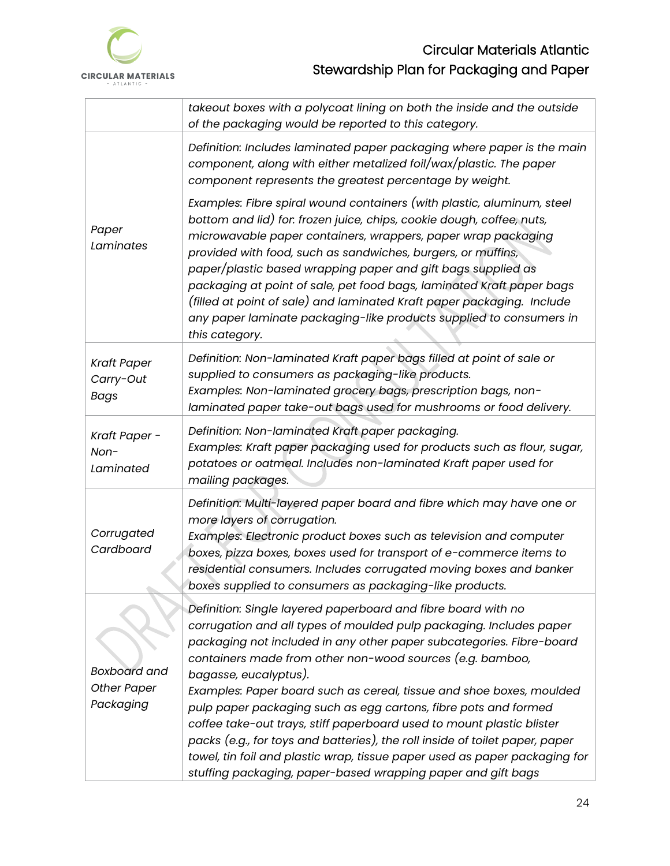

|                                                        | takeout boxes with a polycoat lining on both the inside and the outside<br>of the packaging would be reported to this category.                                                                                                                                                                                                                                                                                                                                                                                                                                                                                                                                                                                                                      |
|--------------------------------------------------------|------------------------------------------------------------------------------------------------------------------------------------------------------------------------------------------------------------------------------------------------------------------------------------------------------------------------------------------------------------------------------------------------------------------------------------------------------------------------------------------------------------------------------------------------------------------------------------------------------------------------------------------------------------------------------------------------------------------------------------------------------|
|                                                        | Definition: Includes laminated paper packaging where paper is the main<br>component, along with either metalized foil/wax/plastic. The paper<br>component represents the greatest percentage by weight.                                                                                                                                                                                                                                                                                                                                                                                                                                                                                                                                              |
| Paper<br>Laminates                                     | Examples: Fibre spiral wound containers (with plastic, aluminum, steel<br>bottom and lid) for. frozen juice, chips, cookie dough, coffee, nuts,<br>microwavable paper containers, wrappers, paper wrap packaging<br>provided with food, such as sandwiches, burgers, or muffins,<br>paper/plastic based wrapping paper and gift bags supplied as<br>packaging at point of sale, pet food bags, laminated Kraft paper bags<br>(filled at point of sale) and laminated Kraft paper packaging. Include<br>any paper laminate packaging-like products supplied to consumers in<br>this category.                                                                                                                                                         |
| <b>Kraft Paper</b><br>Carry-Out<br><b>Bags</b>         | Definition: Non-laminated Kraft paper bags filled at point of sale or<br>supplied to consumers as packaging-like products.<br>Examples: Non-laminated grocery bags, prescription bags, non-<br>laminated paper take-out bags used for mushrooms or food delivery.                                                                                                                                                                                                                                                                                                                                                                                                                                                                                    |
| Kraft Paper -<br>Non-<br>Laminated                     | Definition: Non-laminated Kraft paper packaging.<br>Examples: Kraft paper packaging used for products such as flour, sugar,<br>potatoes or oatmeal. Includes non-laminated Kraft paper used for<br>mailing packages.                                                                                                                                                                                                                                                                                                                                                                                                                                                                                                                                 |
| Corrugated<br>Cardboard                                | Definition: Multi-layered paper board and fibre which may have one or<br>more layers of corrugation.<br>Examples: Electronic product boxes such as television and computer<br>boxes, pizza boxes, boxes used for transport of e-commerce items to<br>residential consumers. Includes corrugated moving boxes and banker<br>boxes supplied to consumers as packaging-like products.                                                                                                                                                                                                                                                                                                                                                                   |
| <b>Boxboard and</b><br><b>Other Paper</b><br>Packaging | Definition: Single layered paperboard and fibre board with no<br>corrugation and all types of moulded pulp packaging. Includes paper<br>packaging not included in any other paper subcategories. Fibre-board<br>containers made from other non-wood sources (e.g. bamboo,<br>bagasse, eucalyptus).<br>Examples: Paper board such as cereal, tissue and shoe boxes, moulded<br>pulp paper packaging such as egg cartons, fibre pots and formed<br>coffee take-out trays, stiff paperboard used to mount plastic blister<br>packs (e.g., for toys and batteries), the roll inside of toilet paper, paper<br>towel, tin foil and plastic wrap, tissue paper used as paper packaging for<br>stuffing packaging, paper-based wrapping paper and gift bags |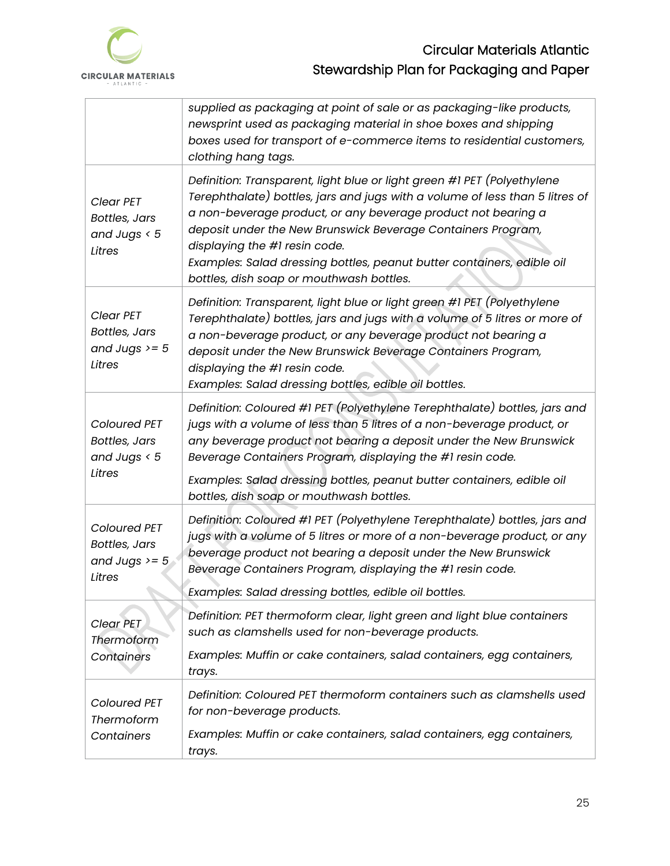

|                                                                   | supplied as packaging at point of sale or as packaging-like products,<br>newsprint used as packaging material in shoe boxes and shipping<br>boxes used for transport of e-commerce items to residential customers,<br>clothing hang tags.                                                                                                                                                                                                       |
|-------------------------------------------------------------------|-------------------------------------------------------------------------------------------------------------------------------------------------------------------------------------------------------------------------------------------------------------------------------------------------------------------------------------------------------------------------------------------------------------------------------------------------|
| Clear PET<br><b>Bottles, Jars</b><br>and Jugs $< 5$<br>Litres     | Definition: Transparent, light blue or light green #1 PET (Polyethylene<br>Terephthalate) bottles, jars and jugs with a volume of less than 5 litres of<br>a non-beverage product, or any beverage product not bearing a<br>deposit under the New Brunswick Beverage Containers Program,<br>displaying the #1 resin code.<br>Examples: Salad dressing bottles, peanut butter containers, edible oil<br>bottles, dish soap or mouthwash bottles. |
| Clear PET<br><b>Bottles, Jars</b><br>and Jugs $>= 5$<br>Litres    | Definition: Transparent, light blue or light green #1 PET (Polyethylene<br>Terephthalate) bottles, jars and jugs with a volume of 5 litres or more of<br>a non-beverage product, or any beverage product not bearing a<br>deposit under the New Brunswick Beverage Containers Program,<br>displaying the #1 resin code.<br>Examples: Salad dressing bottles, edible oil bottles.                                                                |
| Coloured PET<br><b>Bottles, Jars</b><br>and Jugs $< 5$<br>Litres  | Definition: Coloured #1 PET (Polyethylene Terephthalate) bottles, jars and<br>jugs with a volume of less than 5 litres of a non-beverage product, or<br>any beverage product not bearing a deposit under the New Brunswick<br>Beverage Containers Program, displaying the #1 resin code.<br>Examples: Salad dressing bottles, peanut butter containers, edible oil                                                                              |
|                                                                   | bottles, dish soap or mouthwash bottles.                                                                                                                                                                                                                                                                                                                                                                                                        |
| Coloured PET<br><b>Bottles, Jars</b><br>and Jugs $>= 5$<br>Litres | Definition: Coloured #1 PET (Polyethylene Terephthalate) bottles, jars and<br>jugs with a volume of 5 litres or more of a non-beverage product, or any<br>beverage product not bearing a deposit under the New Brunswick<br>Beverage Containers Program, displaying the #1 resin code.                                                                                                                                                          |
|                                                                   | Examples: Salad dressing bottles, edible oil bottles.                                                                                                                                                                                                                                                                                                                                                                                           |
| Clear PET<br>Thermoform                                           | Definition: PET thermoform clear, light green and light blue containers<br>such as clamshells used for non-beverage products.                                                                                                                                                                                                                                                                                                                   |
| Containers                                                        | Examples: Muffin or cake containers, salad containers, egg containers,<br>trays.                                                                                                                                                                                                                                                                                                                                                                |
| Coloured PET<br>Thermoform                                        | Definition: Coloured PET thermoform containers such as clamshells used<br>for non-beverage products.                                                                                                                                                                                                                                                                                                                                            |
| Containers                                                        | Examples: Muffin or cake containers, salad containers, egg containers,<br>trays.                                                                                                                                                                                                                                                                                                                                                                |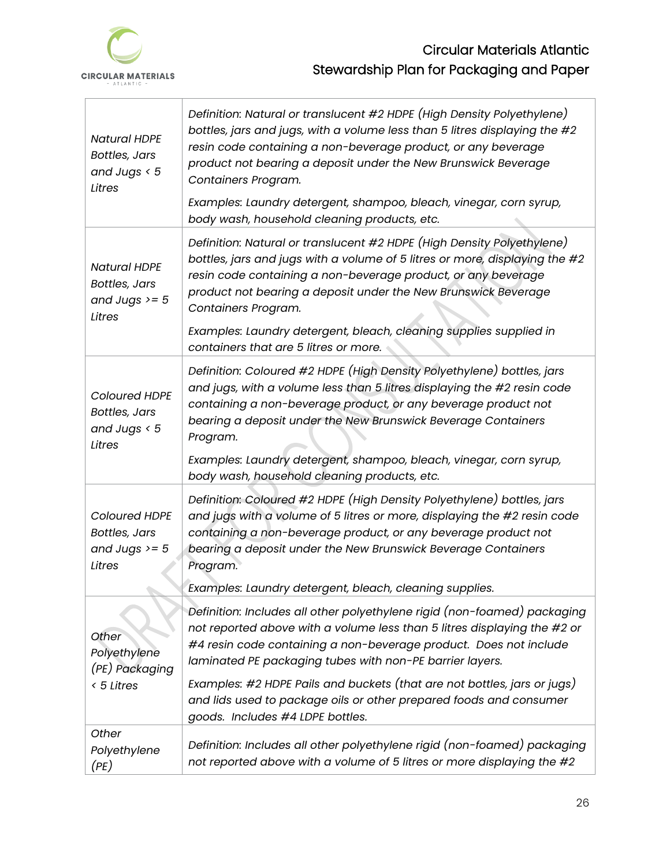

h

| <b>Natural HDPE</b><br><b>Bottles, Jars</b><br>and Jugs $< 5$<br>Litres                                                                                                                                                                                                                                                                                                                                                        | Definition: Natural or translucent #2 HDPE (High Density Polyethylene)<br>bottles, jars and jugs, with a volume less than 5 litres displaying the #2<br>resin code containing a non-beverage product, or any beverage<br>product not bearing a deposit under the New Brunswick Beverage<br>Containers Program.<br>Examples: Laundry detergent, shampoo, bleach, vinegar, corn syrup,<br>body wash, household cleaning products, etc.                                                                                                   |  |  |  |  |  |
|--------------------------------------------------------------------------------------------------------------------------------------------------------------------------------------------------------------------------------------------------------------------------------------------------------------------------------------------------------------------------------------------------------------------------------|----------------------------------------------------------------------------------------------------------------------------------------------------------------------------------------------------------------------------------------------------------------------------------------------------------------------------------------------------------------------------------------------------------------------------------------------------------------------------------------------------------------------------------------|--|--|--|--|--|
| <b>Natural HDPE</b><br><b>Bottles, Jars</b><br>and Jugs $>= 5$<br>Litres                                                                                                                                                                                                                                                                                                                                                       | Definition: Natural or translucent #2 HDPE (High Density Polyethylene)<br>bottles, jars and jugs with a volume of 5 litres or more, displaying the #2<br>resin code containing a non-beverage product, or any beverage<br>product not bearing a deposit under the New Brunswick Beverage<br>Containers Program.<br>Examples: Laundry detergent, bleach, cleaning supplies supplied in<br>containers that are 5 litres or more.                                                                                                         |  |  |  |  |  |
| <b>Coloured HDPE</b><br><b>Bottles, Jars</b><br>and Jugs $< 5$<br>Litres                                                                                                                                                                                                                                                                                                                                                       | Definition: Coloured #2 HDPE (High Density Polyethylene) bottles, jars<br>and jugs, with a volume less than 5 litres displaying the #2 resin code<br>containing a non-beverage product, or any beverage product not<br>bearing a deposit under the New Brunswick Beverage Containers<br>Program.<br>Examples: Laundry detergent, shampoo, bleach, vinegar, corn syrup,                                                                                                                                                                 |  |  |  |  |  |
| body wash, household cleaning products, etc.<br>Definition: Coloured #2 HDPE (High Density Polyethylene) bottles, jars<br>and jugs with a volume of 5 litres or more, displaying the #2 resin code<br><b>Coloured HDPE</b><br>containing a non-beverage product, or any beverage product not<br><b>Bottles, Jars</b><br>and Jugs $>= 5$<br>bearing a deposit under the New Brunswick Beverage Containers<br>Litres<br>Program. |                                                                                                                                                                                                                                                                                                                                                                                                                                                                                                                                        |  |  |  |  |  |
| Other<br>Polyethylene<br>(PE) Packaging<br>< 5 Litres                                                                                                                                                                                                                                                                                                                                                                          | Examples: Laundry detergent, bleach, cleaning supplies.<br>Definition: Includes all other polyethylene rigid (non-foamed) packaging<br>not reported above with a volume less than 5 litres displaying the #2 or<br>#4 resin code containing a non-beverage product. Does not include<br>laminated PE packaging tubes with non-PE barrier layers.<br>Examples: #2 HDPE Pails and buckets (that are not bottles, jars or jugs)<br>and lids used to package oils or other prepared foods and consumer<br>goods. Includes #4 LDPE bottles. |  |  |  |  |  |
| Other<br>Polyethylene<br>(PE)                                                                                                                                                                                                                                                                                                                                                                                                  | Definition: Includes all other polyethylene rigid (non-foamed) packaging<br>not reported above with a volume of 5 litres or more displaying the #2                                                                                                                                                                                                                                                                                                                                                                                     |  |  |  |  |  |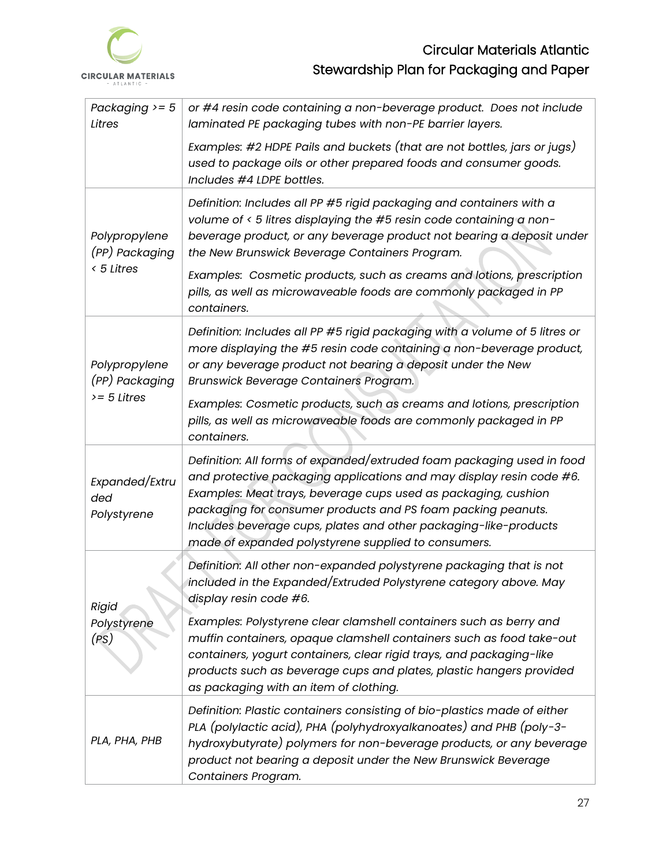

| Packaging $>= 5$<br>Litres                    | or #4 resin code containing a non-beverage product. Does not include<br>laminated PE packaging tubes with non-PE barrier layers.                                                                                                                                                                                                                                                                            |  |  |  |  |
|-----------------------------------------------|-------------------------------------------------------------------------------------------------------------------------------------------------------------------------------------------------------------------------------------------------------------------------------------------------------------------------------------------------------------------------------------------------------------|--|--|--|--|
|                                               | Examples: #2 HDPE Pails and buckets (that are not bottles, jars or jugs)<br>used to package oils or other prepared foods and consumer goods.<br>Includes #4 LDPE bottles.                                                                                                                                                                                                                                   |  |  |  |  |
| Polypropylene<br>(PP) Packaging<br>< 5 Litres | Definition: Includes all PP #5 rigid packaging and containers with a<br>volume of < 5 litres displaying the #5 resin code containing a non-<br>beverage product, or any beverage product not bearing a deposit under<br>the New Brunswick Beverage Containers Program.                                                                                                                                      |  |  |  |  |
|                                               | Examples: Cosmetic products, such as creams and lotions, prescription<br>pills, as well as microwaveable foods are commonly packaged in PP<br>containers.                                                                                                                                                                                                                                                   |  |  |  |  |
| Polypropylene<br>(PP) Packaging               | Definition: Includes all PP #5 rigid packaging with a volume of 5 litres or<br>more displaying the #5 resin code containing a non-beverage product,<br>or any beverage product not bearing a deposit under the New<br>Brunswick Beverage Containers Program.                                                                                                                                                |  |  |  |  |
| $>= 5$ Litres                                 | Examples: Cosmetic products, such as creams and lotions, prescription<br>pills, as well as microwaveable foods are commonly packaged in PP<br>containers.                                                                                                                                                                                                                                                   |  |  |  |  |
| Expanded/Extru<br>ded<br>Polystyrene          | Definition: All forms of expanded/extruded foam packaging used in food<br>and protective packaging applications and may display resin code #6.<br>Examples: Meat trays, beverage cups used as packaging, cushion<br>packaging for consumer products and PS foam packing peanuts.<br>Includes beverage cups, plates and other packaging-like-products<br>made of expanded polystyrene supplied to consumers. |  |  |  |  |
| <b>Rigid</b>                                  | Definition: All other non-expanded polystyrene packaging that is not<br>included in the Expanded/Extruded Polystyrene category above. May<br>display resin code #6.                                                                                                                                                                                                                                         |  |  |  |  |
| Polystyrene<br>(PS)                           | Examples: Polystyrene clear clamshell containers such as berry and<br>muffin containers, opaque clamshell containers such as food take-out<br>containers, yogurt containers, clear rigid trays, and packaging-like<br>products such as beverage cups and plates, plastic hangers provided<br>as packaging with an item of clothing.                                                                         |  |  |  |  |
| PLA, PHA, PHB                                 | Definition: Plastic containers consisting of bio-plastics made of either<br>PLA (polylactic acid), PHA (polyhydroxyalkanoates) and PHB (poly-3-<br>hydroxybutyrate) polymers for non-beverage products, or any beverage<br>product not bearing a deposit under the New Brunswick Beverage<br>Containers Program.                                                                                            |  |  |  |  |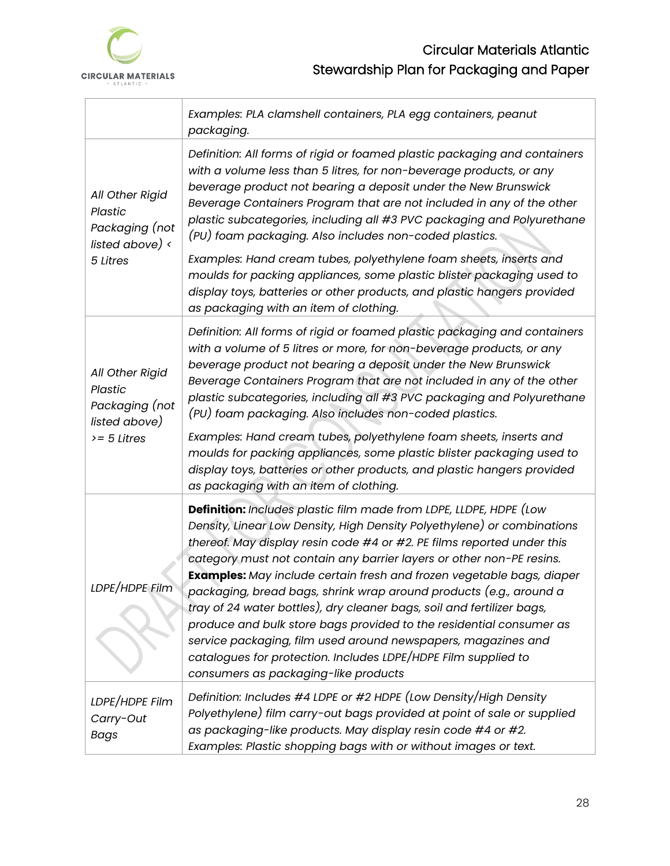

|                                                                                       | Examples: PLA clamshell containers, PLA egg containers, peanut<br>packaging.                                                                                                                                                                                                                                                                                                                                                                                                                                                                                                                                                                                                                                                                                               |  |  |  |  |  |
|---------------------------------------------------------------------------------------|----------------------------------------------------------------------------------------------------------------------------------------------------------------------------------------------------------------------------------------------------------------------------------------------------------------------------------------------------------------------------------------------------------------------------------------------------------------------------------------------------------------------------------------------------------------------------------------------------------------------------------------------------------------------------------------------------------------------------------------------------------------------------|--|--|--|--|--|
| All Other Rigid<br>Plastic<br>Packaging (not<br>listed above) $\langle$<br>5 Litres   | Definition: All forms of rigid or foamed plastic packaging and containers<br>with a volume less than 5 litres, for non-beverage products, or any<br>beverage product not bearing a deposit under the New Brunswick<br>Beverage Containers Program that are not included in any of the other<br>plastic subcategories, including all #3 PVC packaging and Polyurethane<br>(PU) foam packaging. Also includes non-coded plastics.<br>Examples: Hand cream tubes, polyethylene foam sheets, inserts and<br>moulds for packing appliances, some plastic blister packaging used to<br>display toys, batteries or other products, and plastic hangers provided<br>as packaging with an item of clothing.                                                                         |  |  |  |  |  |
| All Other Rigid<br><b>Plastic</b><br>Packaging (not<br>listed above)<br>$>= 5$ Litres | Definition: All forms of rigid or foamed plastic packaging and containers<br>with a volume of 5 litres or more, for non-beverage products, or any<br>beverage product not bearing a deposit under the New Brunswick<br>Beverage Containers Program that are not included in any of the other<br>plastic subcategories, including all #3 PVC packaging and Polyurethane<br>(PU) foam packaging. Also includes non-coded plastics.<br>Examples: Hand cream tubes, polyethylene foam sheets, inserts and<br>moulds for packing appliances, some plastic blister packaging used to<br>display toys, batteries or other products, and plastic hangers provided<br>as packaging with an item of clothing.                                                                        |  |  |  |  |  |
| LDPE/HDPE Film                                                                        | Definition: Includes plastic film made from LDPE, LLDPE, HDPE (Low<br>Density, Linear Low Density, High Density Polyethylene) or combinations<br>thereof. May display resin code #4 or #2. PE films reported under this<br>category must not contain any barrier layers or other non-PE resins.<br>Examples: May include certain fresh and frozen vegetable bags, diaper<br>packaging, bread bags, shrink wrap around products (e.g., around a<br>tray of 24 water bottles), dry cleaner bags, soil and fertilizer bags,<br>produce and bulk store bags provided to the residential consumer as<br>service packaging, film used around newspapers, magazines and<br>catalogues for protection. Includes LDPE/HDPE Film supplied to<br>consumers as packaging-like products |  |  |  |  |  |
| LDPE/HDPE Film<br>Carry-Out<br><b>Bags</b>                                            | Definition: Includes #4 LDPE or #2 HDPE (Low Density/High Density<br>Polyethylene) film carry-out bags provided at point of sale or supplied<br>as packaging-like products. May display resin code #4 or #2.<br>Examples: Plastic shopping bags with or without images or text.                                                                                                                                                                                                                                                                                                                                                                                                                                                                                            |  |  |  |  |  |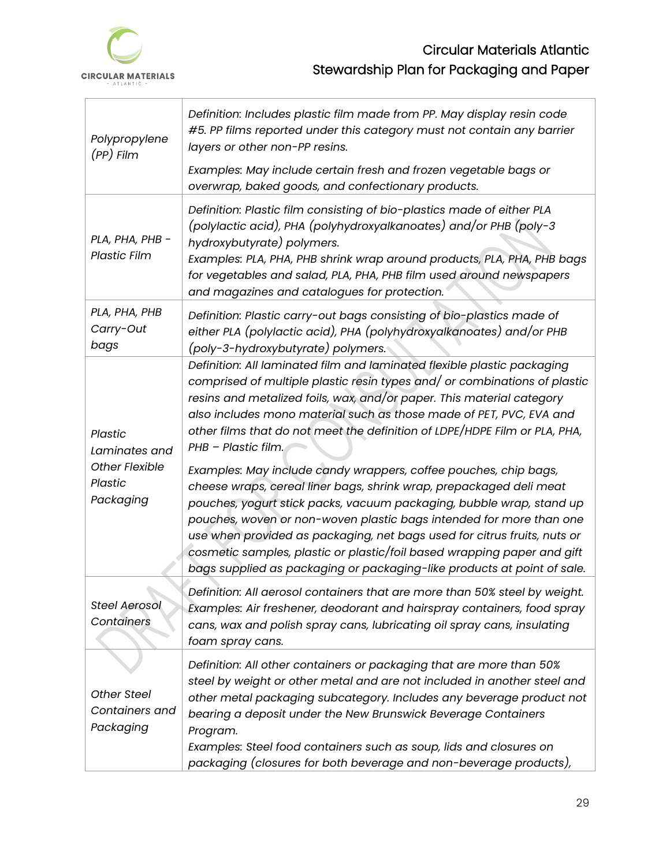

| Polypropylene<br>(PP) Film                                                       | Definition: Includes plastic film made from PP. May display resin code<br>#5. PP films reported under this category must not contain any barrier<br>layers or other non-PP resins.                                                                                                                                                                                                                                                                                                                                                                                                                                                                                                                                                                                                                                                                                                                                                    |  |  |  |  |
|----------------------------------------------------------------------------------|---------------------------------------------------------------------------------------------------------------------------------------------------------------------------------------------------------------------------------------------------------------------------------------------------------------------------------------------------------------------------------------------------------------------------------------------------------------------------------------------------------------------------------------------------------------------------------------------------------------------------------------------------------------------------------------------------------------------------------------------------------------------------------------------------------------------------------------------------------------------------------------------------------------------------------------|--|--|--|--|
|                                                                                  | Examples: May include certain fresh and frozen vegetable bags or<br>overwrap, baked goods, and confectionary products.                                                                                                                                                                                                                                                                                                                                                                                                                                                                                                                                                                                                                                                                                                                                                                                                                |  |  |  |  |
| PLA, PHA, PHB -<br><b>Plastic Film</b>                                           | Definition: Plastic film consisting of bio-plastics made of either PLA<br>(polylactic acid), PHA (polyhydroxyalkanoates) and/or PHB (poly-3<br>hydroxybutyrate) polymers.<br>Examples: PLA, PHA, PHB shrink wrap around products, PLA, PHA, PHB bags<br>for vegetables and salad, PLA, PHA, PHB film used around newspapers<br>and magazines and catalogues for protection.                                                                                                                                                                                                                                                                                                                                                                                                                                                                                                                                                           |  |  |  |  |
| PLA, PHA, PHB<br>Carry-Out<br>bags                                               | Definition: Plastic carry-out bags consisting of bio-plastics made of<br>either PLA (polylactic acid), PHA (polyhydroxyalkanoates) and/or PHB<br>(poly-3-hydroxybutyrate) polymers.                                                                                                                                                                                                                                                                                                                                                                                                                                                                                                                                                                                                                                                                                                                                                   |  |  |  |  |
| <b>Plastic</b><br>Laminates and<br><b>Other Flexible</b><br>Plastic<br>Packaging | Definition: All laminated film and laminated flexible plastic packaging<br>comprised of multiple plastic resin types and/ or combinations of plastic<br>resins and metalized foils, wax, and/or paper. This material category<br>also includes mono material such as those made of PET, PVC, EVA and<br>other films that do not meet the definition of LDPE/HDPE Film or PLA, PHA,<br>PHB - Plastic film.<br>Examples: May include candy wrappers, coffee pouches, chip bags,<br>cheese wraps, cereal liner bags, shrink wrap, prepackaged deli meat<br>pouches, yogurt stick packs, vacuum packaging, bubble wrap, stand up<br>pouches, woven or non-woven plastic bags intended for more than one<br>use when provided as packaging, net bags used for citrus fruits, nuts or<br>cosmetic samples, plastic or plastic/foil based wrapping paper and gift<br>bags supplied as packaging or packaging-like products at point of sale. |  |  |  |  |
| <b>Steel Aerosol</b><br>Containers                                               | Definition: All aerosol containers that are more than 50% steel by weight.<br>Examples: Air freshener, deodorant and hairspray containers, food spray<br>cans, wax and polish spray cans, lubricating oil spray cans, insulating<br>foam spray cans.                                                                                                                                                                                                                                                                                                                                                                                                                                                                                                                                                                                                                                                                                  |  |  |  |  |
| Other Steel<br>Containers and<br>Packaging                                       | Definition: All other containers or packaging that are more than 50%<br>steel by weight or other metal and are not included in another steel and<br>other metal packaging subcategory. Includes any beverage product not<br>bearing a deposit under the New Brunswick Beverage Containers<br>Program.<br>Examples: Steel food containers such as soup, lids and closures on<br>packaging (closures for both beverage and non-beverage products),                                                                                                                                                                                                                                                                                                                                                                                                                                                                                      |  |  |  |  |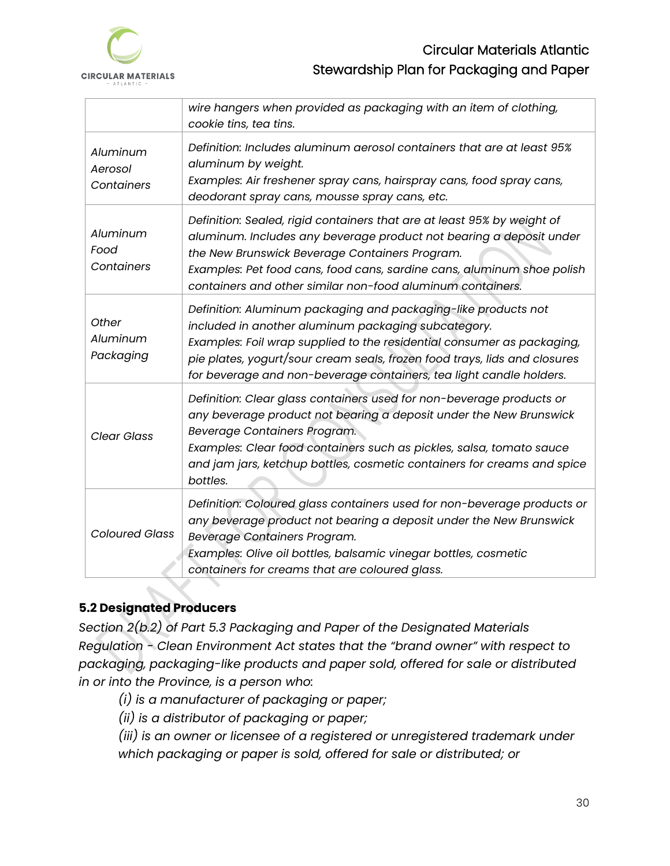

|                                   | wire hangers when provided as packaging with an item of clothing,<br>cookie tins, tea tins.                                                                                                                                                                                                                                                         |
|-----------------------------------|-----------------------------------------------------------------------------------------------------------------------------------------------------------------------------------------------------------------------------------------------------------------------------------------------------------------------------------------------------|
| Aluminum<br>Aerosol<br>Containers | Definition: Includes aluminum aerosol containers that are at least 95%<br>aluminum by weight.<br>Examples: Air freshener spray cans, hairspray cans, food spray cans,<br>deodorant spray cans, mousse spray cans, etc.                                                                                                                              |
| Aluminum<br>Food<br>Containers    | Definition: Sealed, rigid containers that are at least 95% by weight of<br>aluminum. Includes any beverage product not bearing a deposit under<br>the New Brunswick Beverage Containers Program.<br>Examples: Pet food cans, food cans, sardine cans, aluminum shoe polish<br>containers and other similar non-food aluminum containers.            |
| Other<br>Aluminum<br>Packaging    | Definition: Aluminum packaging and packaging-like products not<br>included in another aluminum packaging subcategory.<br>Examples: Foil wrap supplied to the residential consumer as packaging,<br>pie plates, yogurt/sour cream seals, frozen food trays, lids and closures<br>for beverage and non-beverage containers, tea light candle holders. |
| <b>Clear Glass</b>                | Definition: Clear glass containers used for non-beverage products or<br>any beverage product not bearing a deposit under the New Brunswick<br>Beverage Containers Program.<br>Examples: Clear food containers such as pickles, salsa, tomato sauce<br>and jam jars, ketchup bottles, cosmetic containers for creams and spice<br>bottles.           |
| <b>Coloured Glass</b>             | Definition: Coloured glass containers used for non-beverage products or<br>any beverage product not bearing a deposit under the New Brunswick<br>Beverage Containers Program.<br>Examples: Olive oil bottles, balsamic vinegar bottles, cosmetic<br>containers for creams that are coloured glass.                                                  |

# <span id="page-32-0"></span>**5.2 Designated Producers**

*Section 2(b.2) of Part 5.3 Packaging and Paper of the Designated Materials Regulation - Clean Environment Act states that the "brand owner" with respect to packaging, packaging-like products and paper sold, offered for sale or distributed in or into the Province, is a person who:*

- *(i) is a manufacturer of packaging or paper;*
- *(ii) is a distributor of packaging or paper;*

*(iii) is an owner or licensee of a registered or unregistered trademark under which packaging or paper is sold, offered for sale or distributed; or*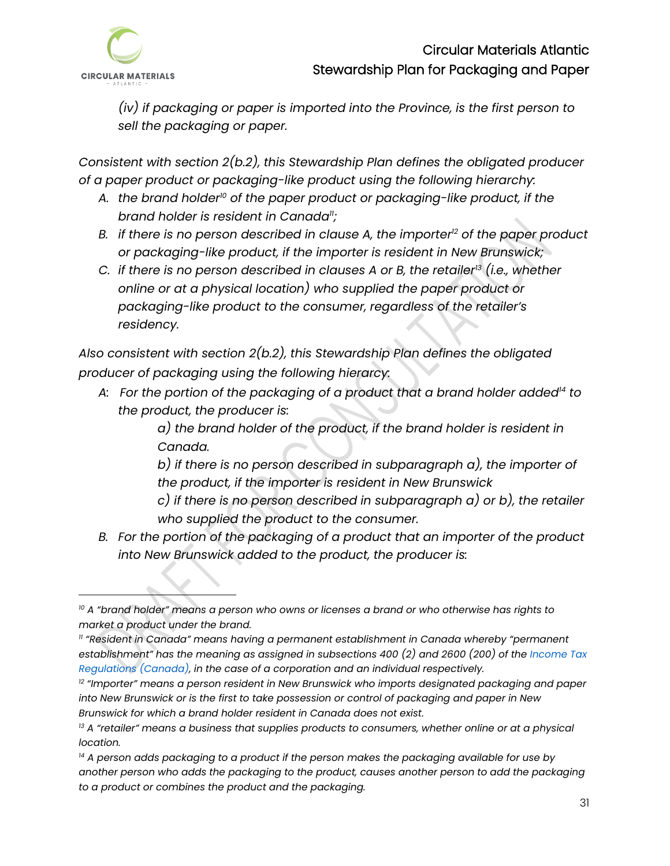

*(iv) if packaging or paper is imported into the Province, is the first person to sell the packaging or paper.*

*Consistent with section 2(b.2), this Stewardship Plan defines the obligated producer of a paper product or packaging-like product using the following hierarchy:*

- *A. the brand holder<sup>10</sup> of the paper product or packaging-like product, if the brand holder is resident in Canada<sup>11</sup>;*
- *B. if there is no person described in clause A, the importer<sup>12</sup> of the paper product or packaging-like product, if the importer is resident in New Brunswick;*
- *C. if there is no person described in clauses A or B, the retailer<sup>13</sup> (i.e., whether online or at a physical location) who supplied the paper product or packaging-like product to the consumer, regardless of the retailer's residency.*

*Also consistent with section 2(b.2), this Stewardship Plan defines the obligated producer of packaging using the following hierarcy:* 

*A: For the portion of the packaging of a product that a brand holder added<sup>14</sup> to the product, the producer is:*

> *a) the brand holder of the product, if the brand holder is resident in Canada.*

*b) if there is no person described in subparagraph a), the importer of the product, if the importer is resident in New Brunswick*

*c) if there is no person described in subparagraph a) or b), the retailer who supplied the product to the consumer.*

*B. For the portion of the packaging of a product that an importer of the product into New Brunswick added to the product, the producer is:*

*<sup>10</sup> A "brand holder" means a person who owns or licenses a brand or who otherwise has rights to market a product under the brand.* 

*<sup>11</sup> "Resident in Canada" means having a permanent establishment in Canada whereby "permanent establishment" has the meaning as assigned in subsections 400 (2) and 2600 (200) of the Income Tax Regulations (Canada), in the case of a corporation and an individual respectively.*

*<sup>12</sup> "Importer" means a person resident in New Brunswick who imports designated packaging and paper into New Brunswick or is the first to take possession or control of packaging and paper in New Brunswick for which a brand holder resident in Canada does not exist.*

*<sup>13</sup> A "retailer" means a business that supplies products to consumers, whether online or at a physical location.*

*<sup>14</sup> A person adds packaging to a product if the person makes the packaging available for use by another person who adds the packaging to the product, causes another person to add the packaging to a product or combines the product and the packaging.*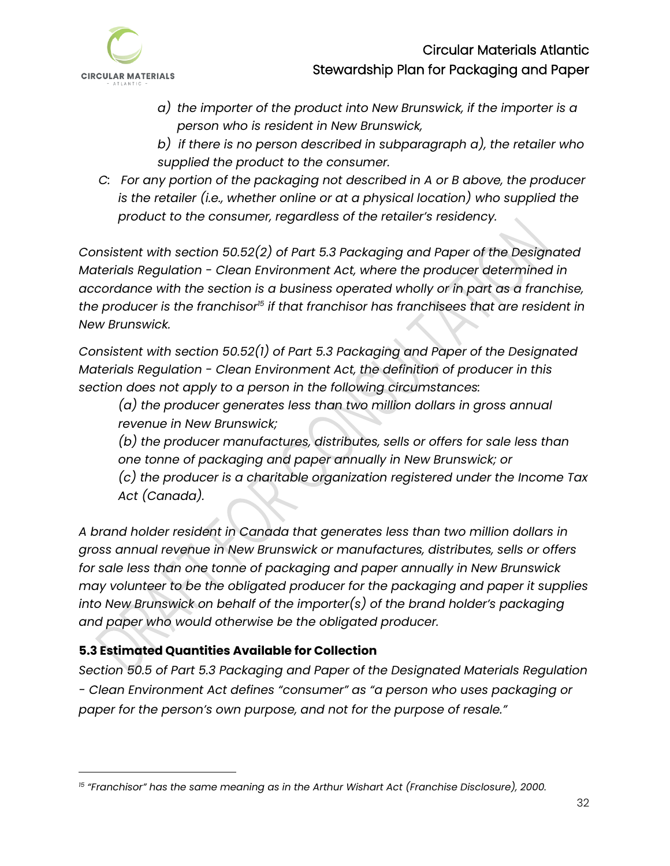

- *a) the importer of the product into New Brunswick, if the importer is a person who is resident in New Brunswick,*
- *b) if there is no person described in subparagraph a), the retailer who supplied the product to the consumer.*
- *C: For any portion of the packaging not described in A or B above, the producer is the retailer (i.e., whether online or at a physical location) who supplied the product to the consumer, regardless of the retailer's residency.*

*Consistent with section 50.52(2) of Part 5.3 Packaging and Paper of the Designated Materials Regulation - Clean Environment Act, where the producer determined in accordance with the section is a business operated wholly or in part as a franchise, the producer is the franchisor<sup>15</sup> if that franchisor has franchisees that are resident in New Brunswick.*

*Consistent with section 50.52(1) of Part 5.3 Packaging and Paper of the Designated Materials Regulation - Clean Environment Act, the definition of producer in this section does not apply to a person in the following circumstances:*

*(a) the producer generates less than two million dollars in gross annual revenue in New Brunswick;*

*(b) the producer manufactures, distributes, sells or offers for sale less than one tonne of packaging and paper annually in New Brunswick; or*

*(c) the producer is a charitable organization registered under the Income Tax Act (Canada).*

*A brand holder resident in Canada that generates less than two million dollars in gross annual revenue in New Brunswick or manufactures, distributes, sells or offers for sale less than one tonne of packaging and paper annually in New Brunswick may volunteer to be the obligated producer for the packaging and paper it supplies into New Brunswick on behalf of the importer(s) of the brand holder's packaging and paper who would otherwise be the obligated producer.* 

# <span id="page-34-0"></span>**5.3 Estimated Quantities Available for Collection**

*Section 50.5 of Part 5.3 Packaging and Paper of the Designated Materials Regulation - Clean Environment Act defines "consumer" as "a person who uses packaging or paper for the person's own purpose, and not for the purpose of resale."* 

<sup>&</sup>lt;sup>15</sup> "Franchisor" has the same meaning as in the Arthur Wishart Act (Franchise Disclosure), 2000.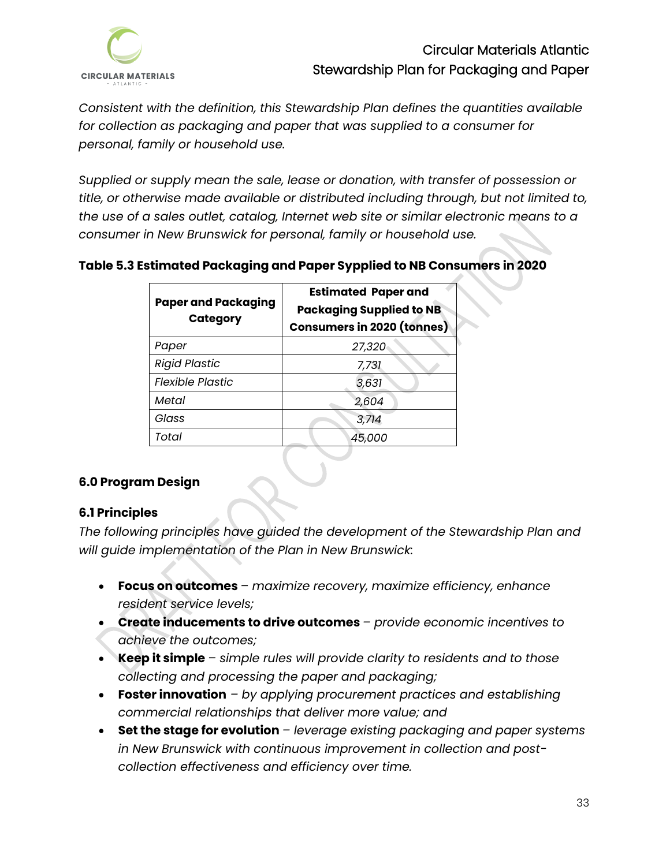

*Consistent with the definition, this Stewardship Plan defines the quantities available for collection as packaging and paper that was supplied to a consumer for personal, family or household use.* 

*Supplied or supply mean the sale, lease or donation, with transfer of possession or title, or otherwise made available or distributed including through, but not limited to, the use of a sales outlet, catalog, Internet web site or similar electronic means to a consumer in New Brunswick for personal, family or household use.*

### **Table 5.3 Estimated Packaging and Paper Sypplied to NB Consumers in 2020**

| <b>Paper and Packaging</b><br><b>Category</b> | <b>Estimated Paper and</b><br><b>Packaging Supplied to NB</b><br><b>Consumers in 2020 (tonnes)</b> |  |  |
|-----------------------------------------------|----------------------------------------------------------------------------------------------------|--|--|
| Paper                                         | 27,320                                                                                             |  |  |
| <b>Rigid Plastic</b>                          | 7,731                                                                                              |  |  |
| <b>Flexible Plastic</b>                       | 3,631                                                                                              |  |  |
| Metal                                         | 2,604                                                                                              |  |  |
| Glass                                         | 3,714                                                                                              |  |  |
| Total                                         | 45,000                                                                                             |  |  |

#### <span id="page-35-0"></span>**6.0 Program Design**

## <span id="page-35-1"></span>**6.1 Principles**

*The following principles have guided the development of the Stewardship Plan and will guide implementation of the Plan in New Brunswick:*

- **Focus on outcomes** *– maximize recovery, maximize efficiency, enhance resident service levels;*
- **Create inducements to drive outcomes** *– provide economic incentives to achieve the outcomes;*
- **Keep it simple** *– simple rules will provide clarity to residents and to those collecting and processing the paper and packaging;*
- **Foster innovation** *– by applying procurement practices and establishing commercial relationships that deliver more value; and*
- **Set the stage for evolution** *– leverage existing packaging and paper systems in New Brunswick with continuous improvement in collection and postcollection effectiveness and efficiency over time.*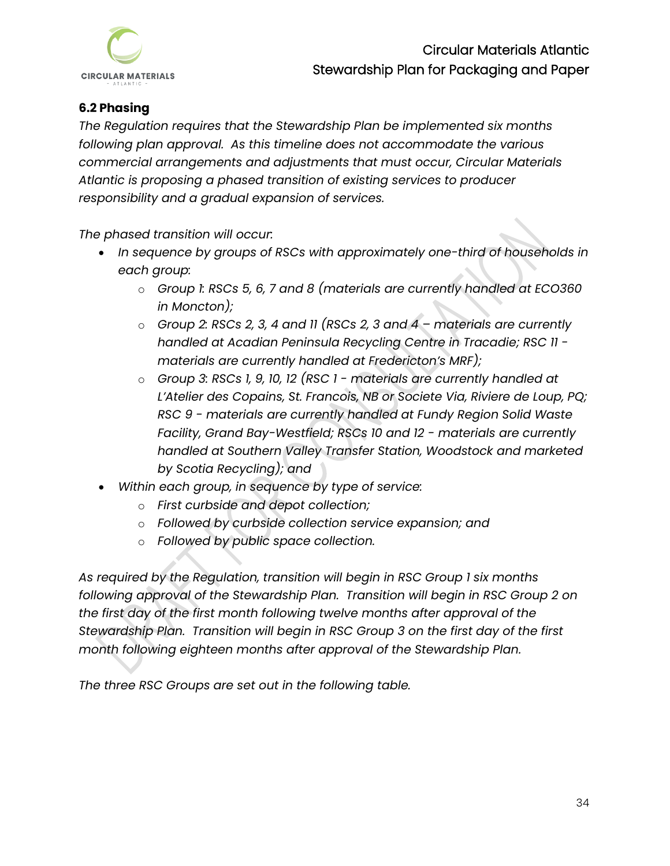

## <span id="page-36-0"></span>**6.2 Phasing**

*The Regulation requires that the Stewardship Plan be implemented six months following plan approval. As this timeline does not accommodate the various commercial arrangements and adjustments that must occur, Circular Materials Atlantic is proposing a phased transition of existing services to producer responsibility and a gradual expansion of services.* 

*The phased transition will occur:*

- *In sequence by groups of RSCs with approximately one-third of households in each group:*
	- o *Group 1: RSCs 5, 6, 7 and 8 (materials are currently handled at ECO360 in Moncton);*
	- o *Group 2: RSCs 2, 3, 4 and 11 (RSCs 2, 3 and 4 – materials are currently handled at Acadian Peninsula Recycling Centre in Tracadie; RSC 11 materials are currently handled at Fredericton's MRF);*
	- o *Group 3: RSCs 1, 9, 10, 12 (RSC 1 - materials are currently handled at L'Atelier des Copains, St. Francois, NB or Societe Via, Riviere de Loup, PQ; RSC 9 - materials are currently handled at Fundy Region Solid Waste Facility, Grand Bay-Westfield; RSCs 10 and 12 - materials are currently handled at Southern Valley Transfer Station, Woodstock and marketed by Scotia Recycling); and*
- *Within each group, in sequence by type of service:*
	- o *First curbside and depot collection;*
	- o *Followed by curbside collection service expansion; and*
	- o *Followed by public space collection.*

*As required by the Regulation, transition will begin in RSC Group 1 six months following approval of the Stewardship Plan. Transition will begin in RSC Group 2 on the first day of the first month following twelve months after approval of the Stewardship Plan. Transition will begin in RSC Group 3 on the first day of the first month following eighteen months after approval of the Stewardship Plan.* 

*The three RSC Groups are set out in the following table.*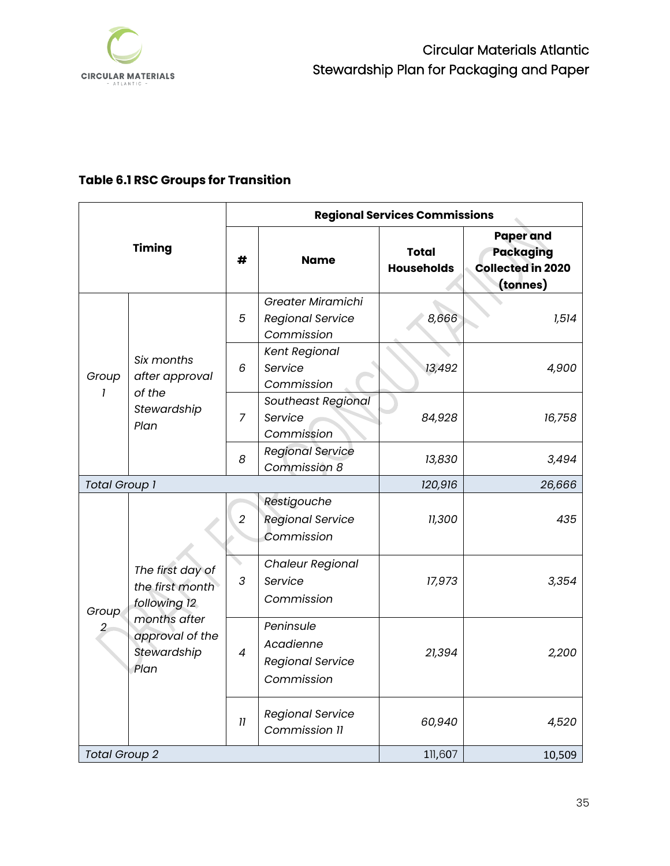

# **Table 6.1 RSC Groups for Transition**

| <b>Timing</b>           |                                                                                                               | <b>Regional Services Commissions</b> |                                                                 |                                   |                                                                              |
|-------------------------|---------------------------------------------------------------------------------------------------------------|--------------------------------------|-----------------------------------------------------------------|-----------------------------------|------------------------------------------------------------------------------|
|                         |                                                                                                               | #                                    | <b>Name</b>                                                     | <b>Total</b><br><b>Households</b> | <b>Paper and</b><br><b>Packaging</b><br><b>Collected in 2020</b><br>(tonnes) |
| Group<br>1              | Six months<br>after approval<br>of the<br>Stewardship<br>Plan                                                 | 5                                    | Greater Miramichi<br><b>Regional Service</b><br>Commission      | 8,666                             | 1,514                                                                        |
|                         |                                                                                                               | 6                                    | <b>Kent Regional</b><br>Service<br>Commission                   | 13,492                            | 4,900                                                                        |
|                         |                                                                                                               | $\overline{7}$                       | Southeast Regional<br>Service<br>Commission                     | 84,928                            | 16,758                                                                       |
|                         |                                                                                                               | 8                                    | <b>Regional Service</b><br>Commission 8                         | 13,830                            | 3,494                                                                        |
| <b>Total Group 1</b>    |                                                                                                               |                                      |                                                                 | 120,916                           | 26,666                                                                       |
| Group<br>$\overline{c}$ | The first day of<br>the first month<br>following 12<br>months after<br>approval of the<br>Stewardship<br>Plan | $\overline{2}$                       | Restigouche<br><b>Regional Service</b><br>Commission            | 11,300                            | 435                                                                          |
|                         |                                                                                                               | 3                                    | <b>Chaleur Regional</b><br>Service<br>Commission                | 17,973                            | 3,354                                                                        |
|                         |                                                                                                               | $\overline{4}$                       | Peninsule<br>Acadienne<br><b>Regional Service</b><br>Commission | 21,394                            | 2,200                                                                        |
|                         |                                                                                                               | 11                                   | <b>Regional Service</b><br>Commission 11                        | 60,940                            | 4,520                                                                        |
| <b>Total Group 2</b>    |                                                                                                               |                                      | 111,607                                                         | 10,509                            |                                                                              |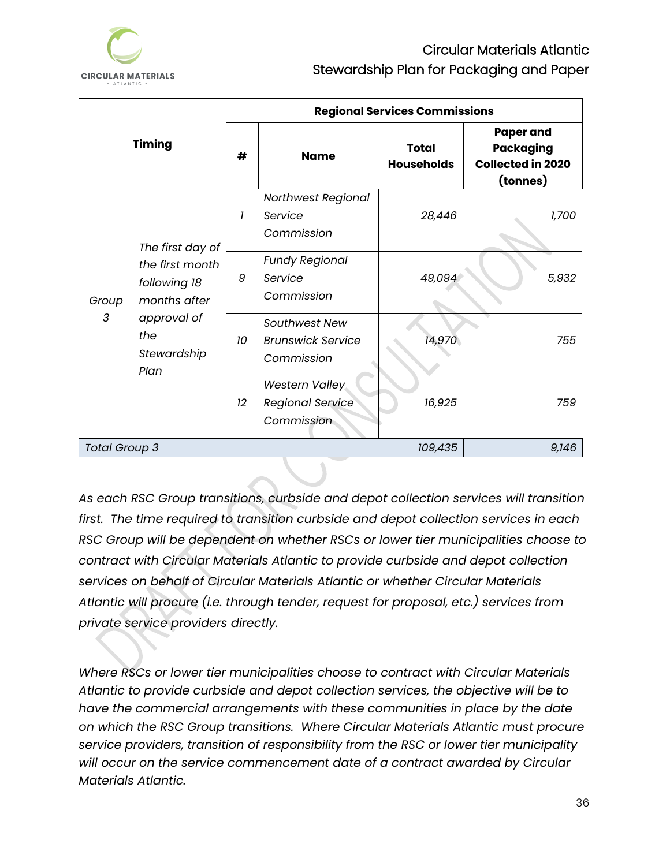

| <b>Timing</b>        |                                                                                              | <b>Regional Services Commissions</b> |                                                                |                                   |                                                                              |
|----------------------|----------------------------------------------------------------------------------------------|--------------------------------------|----------------------------------------------------------------|-----------------------------------|------------------------------------------------------------------------------|
|                      |                                                                                              | #                                    | <b>Name</b>                                                    | <b>Total</b><br><b>Households</b> | <b>Paper and</b><br><b>Packaging</b><br><b>Collected in 2020</b><br>(tonnes) |
|                      | The first day of                                                                             | 1                                    | Northwest Regional<br>Service<br>Commission                    | 28,446                            | 1,700                                                                        |
| Group<br>3           | the first month<br>following 18<br>months after<br>approval of<br>the<br>Stewardship<br>Plan | 9                                    | <b>Fundy Regional</b><br>Service<br>Commission                 | 49,094                            | 5,932                                                                        |
|                      |                                                                                              | 10                                   | Southwest New<br><b>Brunswick Service</b><br>Commission        | 14,970                            | 755                                                                          |
|                      |                                                                                              | 12                                   | <b>Western Valley</b><br><b>Regional Service</b><br>Commission | 16,925                            | 759                                                                          |
| <b>Total Group 3</b> |                                                                                              | 109,435                              | 9,146                                                          |                                   |                                                                              |

*As each RSC Group transitions, curbside and depot collection services will transition first. The time required to transition curbside and depot collection services in each RSC Group will be dependent on whether RSCs or lower tier municipalities choose to contract with Circular Materials Atlantic to provide curbside and depot collection services on behalf of Circular Materials Atlantic or whether Circular Materials Atlantic will procure (i.e. through tender, request for proposal, etc.) services from private service providers directly.* 

*Where RSCs or lower tier municipalities choose to contract with Circular Materials Atlantic to provide curbside and depot collection services, the objective will be to have the commercial arrangements with these communities in place by the date on which the RSC Group transitions. Where Circular Materials Atlantic must procure service providers, transition of responsibility from the RSC or lower tier municipality will occur on the service commencement date of a contract awarded by Circular Materials Atlantic.*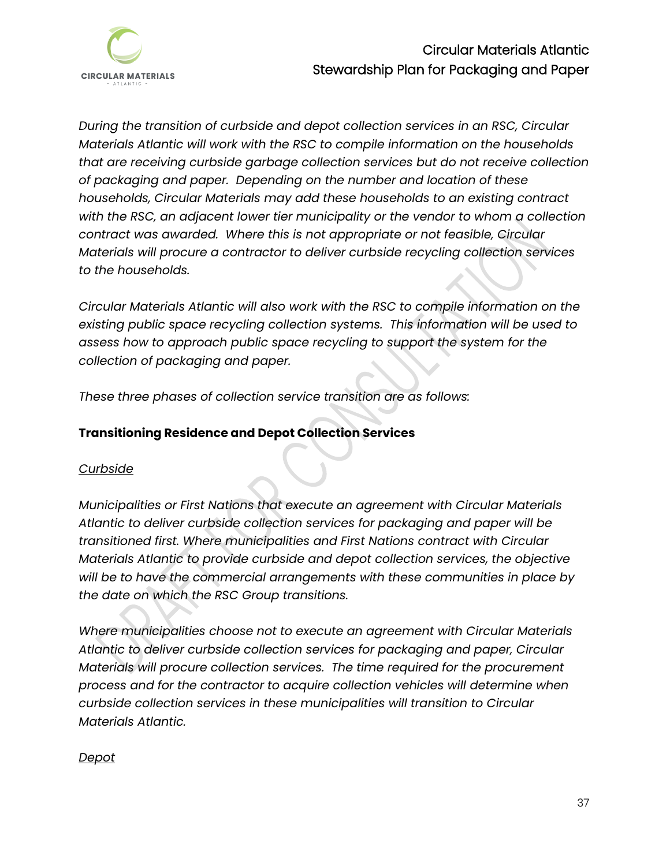

*During the transition of curbside and depot collection services in an RSC, Circular Materials Atlantic will work with the RSC to compile information on the households that are receiving curbside garbage collection services but do not receive collection of packaging and paper. Depending on the number and location of these households, Circular Materials may add these households to an existing contract with the RSC, an adjacent lower tier municipality or the vendor to whom a collection contract was awarded. Where this is not appropriate or not feasible, Circular Materials will procure a contractor to deliver curbside recycling collection services to the households.* 

*Circular Materials Atlantic will also work with the RSC to compile information on the existing public space recycling collection systems. This information will be used to assess how to approach public space recycling to support the system for the collection of packaging and paper.* 

*These three phases of collection service transition are as follows:* 

### **Transitioning Residence and Depot Collection Services**

#### *Curbside*

*Municipalities or First Nations that execute an agreement with Circular Materials Atlantic to deliver curbside collection services for packaging and paper will be transitioned first. Where municipalities and First Nations contract with Circular Materials Atlantic to provide curbside and depot collection services, the objective will be to have the commercial arrangements with these communities in place by the date on which the RSC Group transitions.* 

*Where municipalities choose not to execute an agreement with Circular Materials Atlantic to deliver curbside collection services for packaging and paper, Circular Materials will procure collection services. The time required for the procurement process and for the contractor to acquire collection vehicles will determine when curbside collection services in these municipalities will transition to Circular Materials Atlantic.* 

#### *Depot*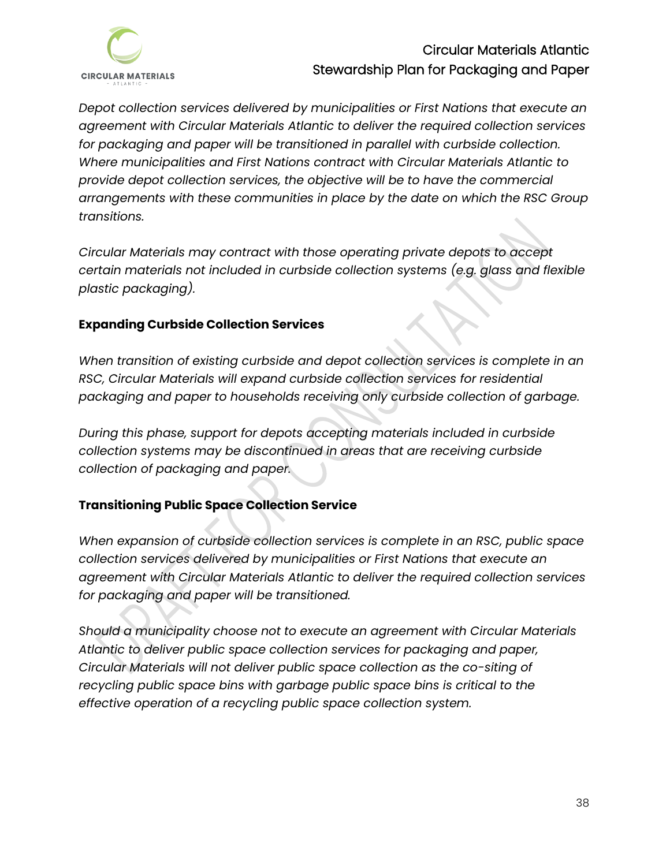

*Depot collection services delivered by municipalities or First Nations that execute an agreement with Circular Materials Atlantic to deliver the required collection services for packaging and paper will be transitioned in parallel with curbside collection. Where municipalities and First Nations contract with Circular Materials Atlantic to provide depot collection services, the objective will be to have the commercial arrangements with these communities in place by the date on which the RSC Group transitions.* 

*Circular Materials may contract with those operating private depots to accept certain materials not included in curbside collection systems (e.g. glass and flexible plastic packaging).*

### **Expanding Curbside Collection Services**

*When transition of existing curbside and depot collection services is complete in an RSC, Circular Materials will expand curbside collection services for residential packaging and paper to households receiving only curbside collection of garbage.* 

*During this phase, support for depots accepting materials included in curbside collection systems may be discontinued in areas that are receiving curbside collection of packaging and paper.* 

## **Transitioning Public Space Collection Service**

*When expansion of curbside collection services is complete in an RSC, public space collection services delivered by municipalities or First Nations that execute an agreement with Circular Materials Atlantic to deliver the required collection services for packaging and paper will be transitioned.* 

*Should a municipality choose not to execute an agreement with Circular Materials Atlantic to deliver public space collection services for packaging and paper, Circular Materials will not deliver public space collection as the co-siting of recycling public space bins with garbage public space bins is critical to the effective operation of a recycling public space collection system.*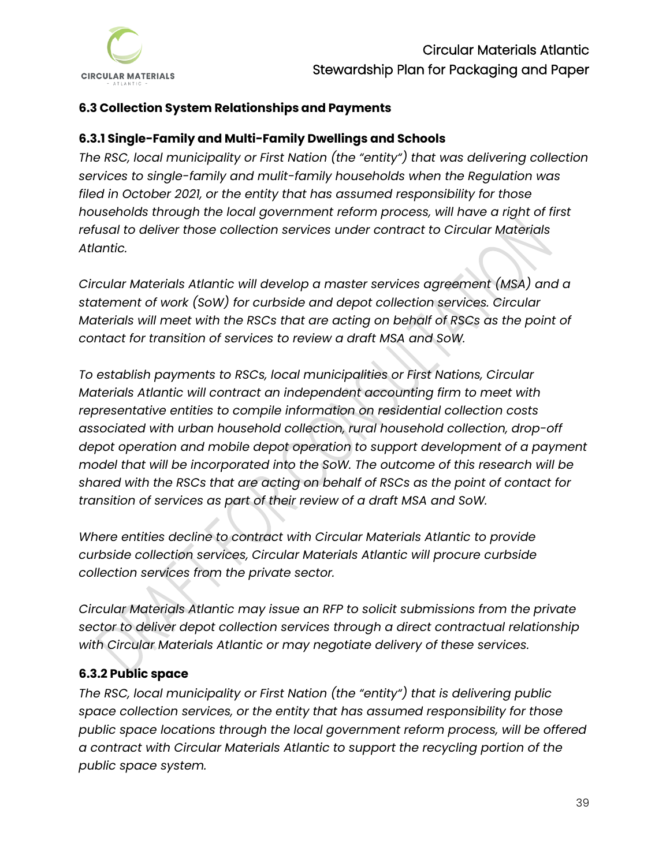## <span id="page-41-0"></span>**6.3 Collection System Relationships and Payments**

### <span id="page-41-1"></span>**6.3.1 Single-Family and Multi-Family Dwellings and Schools**

*The RSC, local municipality or First Nation (the "entity") that was delivering collection services to single-family and mulit-family households when the Regulation was filed in October 2021, or the entity that has assumed responsibility for those households through the local government reform process, will have a right of first refusal to deliver those collection services under contract to Circular Materials Atlantic.* 

*Circular Materials Atlantic will develop a master services agreement (MSA) and a statement of work (SoW) for curbside and depot collection services. Circular Materials will meet with the RSCs that are acting on behalf of RSCs as the point of contact for transition of services to review a draft MSA and SoW.* 

*To establish payments to RSCs, local municipalities or First Nations, Circular Materials Atlantic will contract an independent accounting firm to meet with representative entities to compile information on residential collection costs associated with urban household collection, rural household collection, drop-off depot operation and mobile depot operation to support development of a payment model that will be incorporated into the SoW. The outcome of this research will be shared with the RSCs that are acting on behalf of RSCs as the point of contact for transition of services as part of their review of a draft MSA and SoW.* 

*Where entities decline to contract with Circular Materials Atlantic to provide curbside collection services, Circular Materials Atlantic will procure curbside collection services from the private sector.* 

*Circular Materials Atlantic may issue an RFP to solicit submissions from the private sector to deliver depot collection services through a direct contractual relationship with Circular Materials Atlantic or may negotiate delivery of these services.* 

## <span id="page-41-2"></span>**6.3.2 Public space**

*The RSC, local municipality or First Nation (the "entity") that is delivering public space collection services, or the entity that has assumed responsibility for those public space locations through the local government reform process, will be offered a contract with Circular Materials Atlantic to support the recycling portion of the public space system.*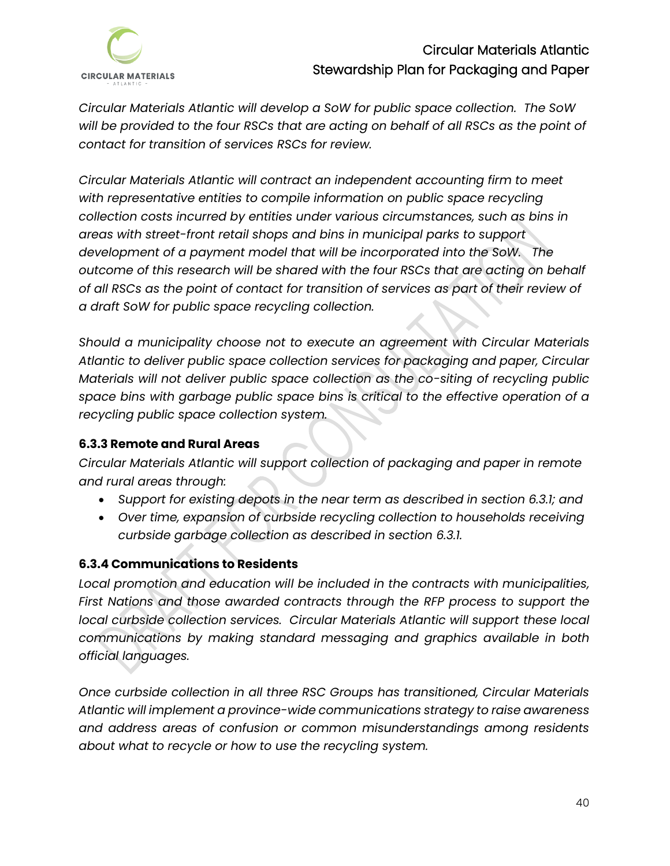

*Circular Materials Atlantic will develop a SoW for public space collection. The SoW will be provided to the four RSCs that are acting on behalf of all RSCs as the point of contact for transition of services RSCs for review.* 

*Circular Materials Atlantic will contract an independent accounting firm to meet with representative entities to compile information on public space recycling collection costs incurred by entities under various circumstances, such as bins in areas with street-front retail shops and bins in municipal parks to support development of a payment model that will be incorporated into the SoW. The outcome of this research will be shared with the four RSCs that are acting on behalf of all RSCs as the point of contact for transition of services as part of their review of a draft SoW for public space recycling collection.* 

*Should a municipality choose not to execute an agreement with Circular Materials Atlantic to deliver public space collection services for packaging and paper, Circular Materials will not deliver public space collection as the co-siting of recycling public space bins with garbage public space bins is critical to the effective operation of a recycling public space collection system.* 

#### <span id="page-42-0"></span>**6.3.3 Remote and Rural Areas**

*Circular Materials Atlantic will support collection of packaging and paper in remote and rural areas through:*

- *Support for existing depots in the near term as described in section 6.3.1; and*
- *Over time, expansion of curbside recycling collection to households receiving curbside garbage collection as described in section 6.3.1.*

## <span id="page-42-1"></span>**6.3.4 Communications to Residents**

*Local promotion and education will be included in the contracts with municipalities,*  First Nations and those awarded contracts through the RFP process to support the local curbside collection services. Circular Materials Atlantic will support these local *communications by making standard messaging and graphics available in both official languages.* 

*Once curbside collection in all three RSC Groups has transitioned, Circular Materials Atlantic will implement a province-wide communications strategy to raise awareness and address areas of confusion or common misunderstandings among residents about what to recycle or how to use the recycling system.*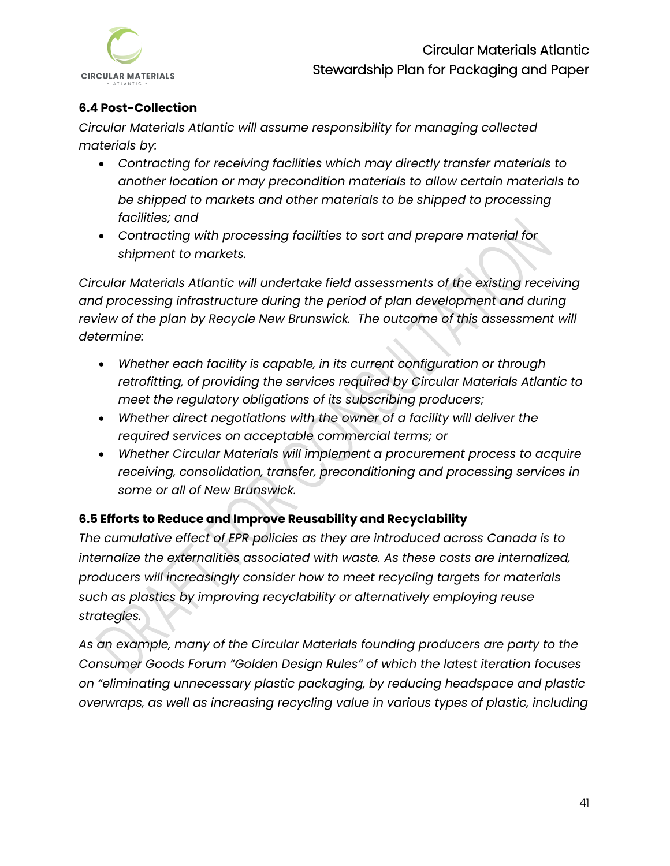

## <span id="page-43-0"></span>**6.4 Post-Collection**

*Circular Materials Atlantic will assume responsibility for managing collected materials by:*

- *Contracting for receiving facilities which may directly transfer materials to another location or may precondition materials to allow certain materials to be shipped to markets and other materials to be shipped to processing facilities; and*
- *Contracting with processing facilities to sort and prepare material for shipment to markets.*

*Circular Materials Atlantic will undertake field assessments of the existing receiving and processing infrastructure during the period of plan development and during review of the plan by Recycle New Brunswick. The outcome of this assessment will determine:*

- *Whether each facility is capable, in its current configuration or through retrofitting, of providing the services required by Circular Materials Atlantic to meet the regulatory obligations of its subscribing producers;*
- *Whether direct negotiations with the owner of a facility will deliver the required services on acceptable commercial terms; or*
- *Whether Circular Materials will implement a procurement process to acquire receiving, consolidation, transfer, preconditioning and processing services in some or all of New Brunswick.*

## <span id="page-43-1"></span>**6.5 Efforts to Reduce and Improve Reusability and Recyclability**

*The cumulative effect of EPR policies as they are introduced across Canada is to internalize the externalities associated with waste. As these costs are internalized, producers will increasingly consider how to meet recycling targets for materials such as plastics by improving recyclability or alternatively employing reuse strategies.* 

*As an example, many of the Circular Materials founding producers are party to the Consumer Goods Forum "Golden Design Rules" of which the latest iteration focuses on "eliminating unnecessary plastic packaging, by reducing headspace and plastic overwraps, as well as increasing recycling value in various types of plastic, including*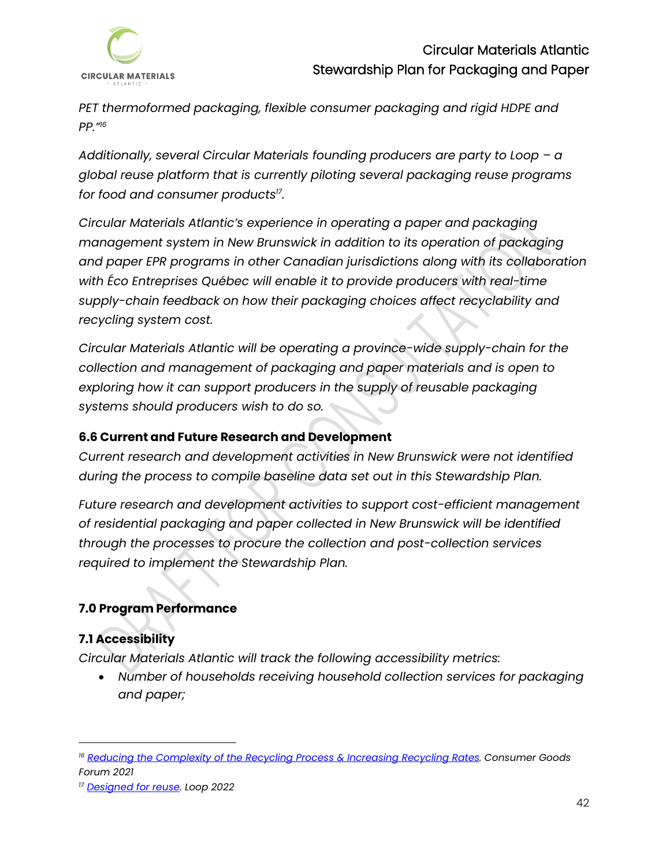

*PET thermoformed packaging, flexible consumer packaging and rigid HDPE and PP." 16*

*Additionally, several Circular Materials founding producers are party to Loop – a global reuse platform that is currently piloting several packaging reuse programs for food and consumer products<sup>17</sup> .*

*Circular Materials Atlantic's experience in operating a paper and packaging management system in New Brunswick in addition to its operation of packaging and paper EPR programs in other Canadian jurisdictions along with its collaboration with Éco Entreprises Québec will enable it to provide producers with real-time supply-chain feedback on how their packaging choices affect recyclability and recycling system cost.*

*Circular Materials Atlantic will be operating a province-wide supply-chain for the collection and management of packaging and paper materials and is open to*  exploring how it can support producers in the supply of reusable packaging *systems should producers wish to do so.* 

## **6.6 Current and Future Research and Development**

*Current research and development activities in New Brunswick were not identified during the process to compile baseline data set out in this Stewardship Plan.* 

*Future research and development activities to support cost-efficient management of residential packaging and paper collected in New Brunswick will be identified through the processes to procure the collection and post-collection services required to implement the Stewardship Plan.* 

## <span id="page-44-0"></span>**7.0 Program Performance**

#### <span id="page-44-1"></span>**7.1 Accessibility**

*Circular Materials Atlantic will track the following accessibility metrics:* 

• *Number of households receiving household collection services for packaging and paper;* 

*<sup>16</sup> Reducing the Complexity of the [Recycling Process](https://www.theconsumergoodsforum.com/environmental-sustainability/plastic-waste/key-projects/packaging-design/) & Increasing Recycling Rates. Consumer Goods Forum 2021*

*<sup>17</sup> [Designed for reuse.](https://www.exploreloop.com/) Loop 2022*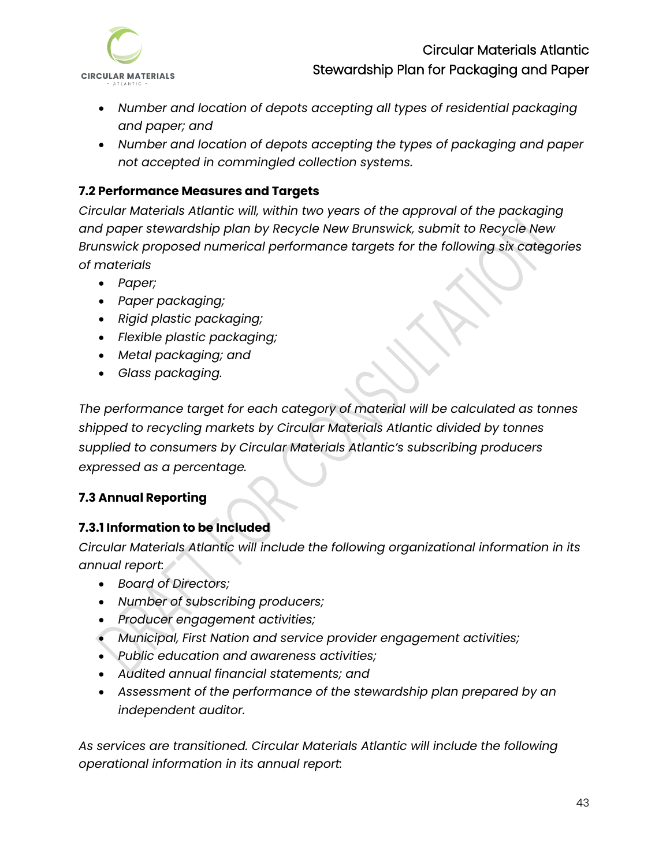

- *Number and location of depots accepting all types of residential packaging and paper; and*
- *Number and location of depots accepting the types of packaging and paper not accepted in commingled collection systems.*

### <span id="page-45-0"></span>**7.2 Performance Measures and Targets**

*Circular Materials Atlantic will, within two years of the approval of the packaging and paper stewardship plan by Recycle New Brunswick, submit to Recycle New Brunswick proposed numerical performance targets for the following six categories of materials* 

- *Paper;*
- *Paper packaging;*
- *Rigid plastic packaging;*
- *Flexible plastic packaging;*
- *Metal packaging; and*
- *Glass packaging.*

*The performance target for each category of material will be calculated as tonnes shipped to recycling markets by Circular Materials Atlantic divided by tonnes supplied to consumers by Circular Materials Atlantic's subscribing producers expressed as a percentage.* 

## <span id="page-45-1"></span>**7.3 Annual Reporting**

## <span id="page-45-2"></span>**7.3.1 Information to be Included**

*Circular Materials Atlantic will include the following organizational information in its annual report:*

- *Board of Directors;*
- *Number of subscribing producers;*
- *Producer engagement activities;*
- *Municipal, First Nation and service provider engagement activities;*
- *Public education and awareness activities;*
- *Audited annual financial statements; and*
- *Assessment of the performance of the stewardship plan prepared by an independent auditor.*

*As services are transitioned. Circular Materials Atlantic will include the following operational information in its annual report:*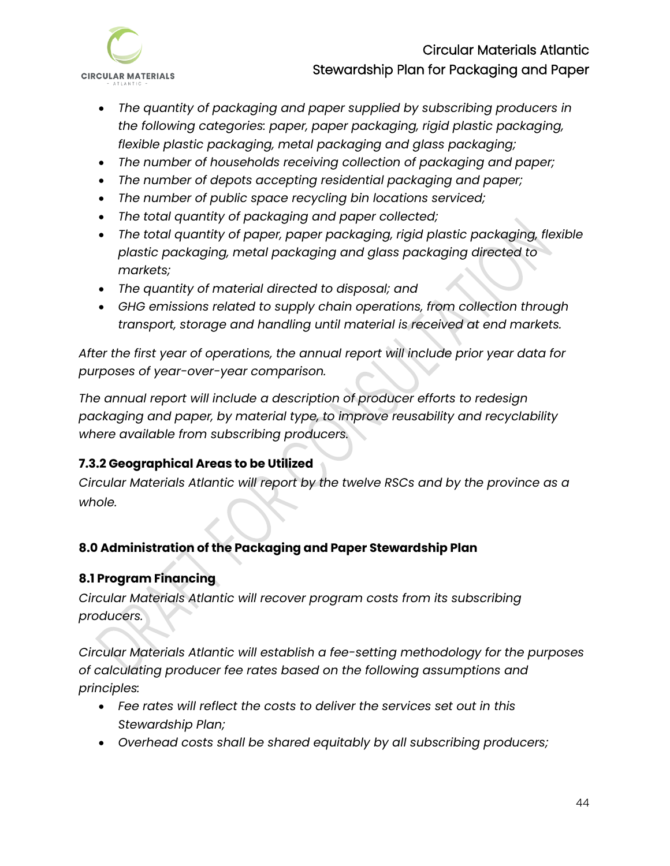

- *The quantity of packaging and paper supplied by subscribing producers in the following categories: paper, paper packaging, rigid plastic packaging, flexible plastic packaging, metal packaging and glass packaging;*
- *The number of households receiving collection of packaging and paper;*
- *The number of depots accepting residential packaging and paper;*
- *The number of public space recycling bin locations serviced;*
- *The total quantity of packaging and paper collected;*
- *The total quantity of paper, paper packaging, rigid plastic packaging, flexible plastic packaging, metal packaging and glass packaging directed to markets;*
- *The quantity of material directed to disposal; and*
- *GHG emissions related to supply chain operations, from collection through transport, storage and handling until material is received at end markets.*

*After the first year of operations, the annual report will include prior year data for purposes of year-over-year comparison.*

*The annual report will include a description of producer efforts to redesign packaging and paper, by material type, to improve reusability and recyclability where available from subscribing producers.* 

# <span id="page-46-0"></span>**7.3.2 Geographical Areas to be Utilized**

*Circular Materials Atlantic will report by the twelve RSCs and by the province as a whole.* 

# <span id="page-46-1"></span>**8.0 Administration of the Packaging and Paper Stewardship Plan**

## <span id="page-46-2"></span>**8.1 Program Financing**

*Circular Materials Atlantic will recover program costs from its subscribing producers.* 

*Circular Materials Atlantic will establish a fee-setting methodology for the purposes of calculating producer fee rates based on the following assumptions and principles:*

- *Fee rates will reflect the costs to deliver the services set out in this Stewardship Plan;*
- *Overhead costs shall be shared equitably by all subscribing producers;*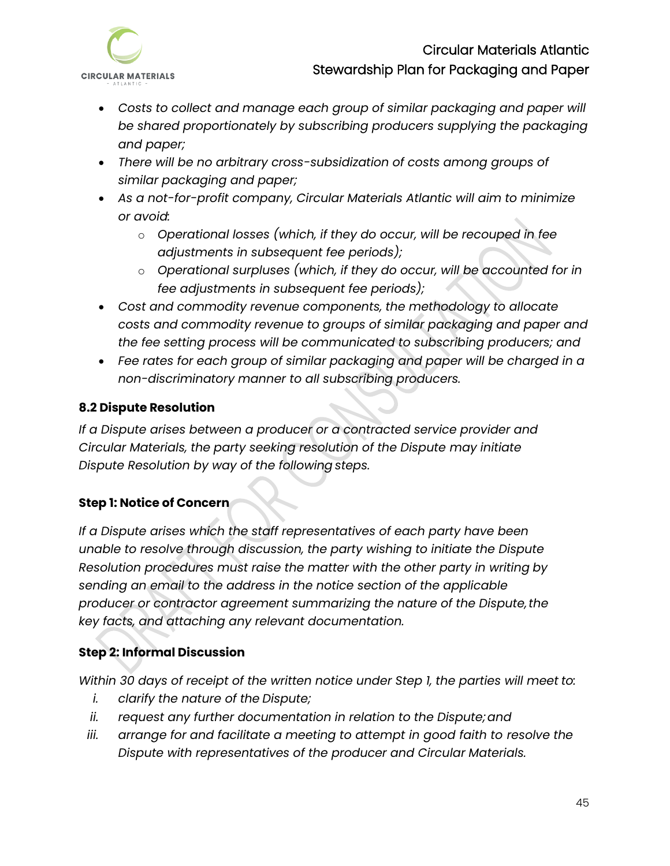

- *Costs to collect and manage each group of similar packaging and paper will be shared proportionately by subscribing producers supplying the packaging and paper;*
- *There will be no arbitrary cross-subsidization of costs among groups of similar packaging and paper;*
- *As a not-for-profit company, Circular Materials Atlantic will aim to minimize or avoid:* 
	- o *Operational losses (which, if they do occur, will be recouped in fee adjustments in subsequent fee periods);*
	- o *Operational surpluses (which, if they do occur, will be accounted for in fee adjustments in subsequent fee periods);*
- *Cost and commodity revenue components, the methodology to allocate costs and commodity revenue to groups of similar packaging and paper and the fee setting process will be communicated to subscribing producers; and*
- *Fee rates for each group of similar packaging and paper will be charged in a non-discriminatory manner to all subscribing producers.*

## <span id="page-47-0"></span>**8.2 Dispute Resolution**

*If a Dispute arises between a producer or a contracted service provider and Circular Materials, the party seeking resolution of the Dispute may initiate Dispute Resolution by way of the following steps.*

# **Step 1: Notice of Concern**

*If a Dispute arises which the staff representatives of each party have been unable to resolve through discussion, the party wishing to initiate the Dispute Resolution procedures must raise the matter with the other party in writing by sending an email to the address in the notice section of the applicable producer or contractor agreement summarizing the nature of the Dispute,the key facts, and attaching any relevant documentation.* 

# **Step 2: Informal Discussion**

*Within 30 days of receipt of the written notice under Step 1, the parties will meet to:*

- *i. clarify the nature of the Dispute;*
- *ii. request any further documentation in relation to the Dispute;and*
- *iii. arrange for and facilitate a meeting to attempt in good faith to resolve the Dispute with representatives of the producer and Circular Materials.*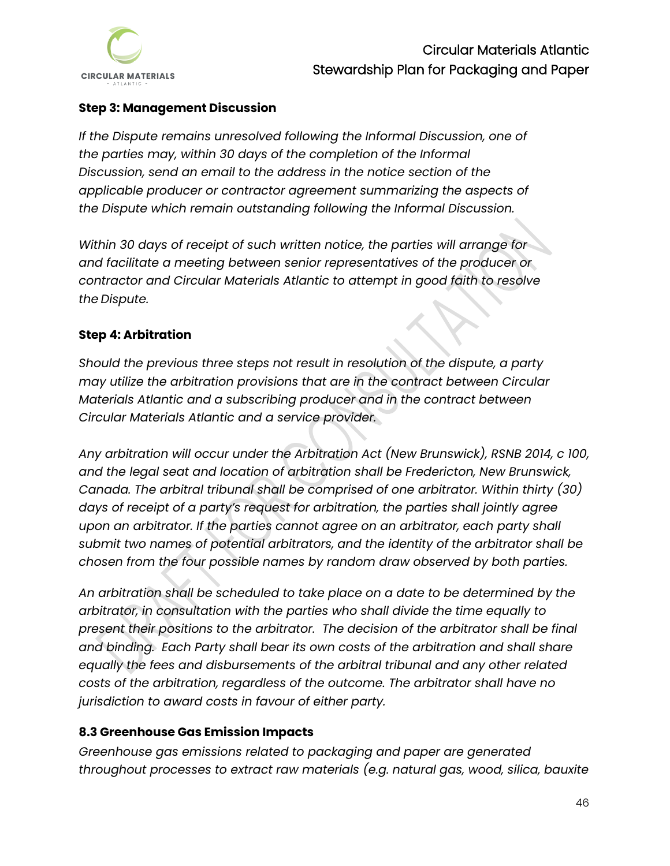

### **Step 3: Management Discussion**

*If the Dispute remains unresolved following the Informal Discussion, one of the parties may, within 30 days of the completion of the Informal Discussion, send an email to the address in the notice section of the applicable producer or contractor agreement summarizing the aspects of the Dispute which remain outstanding following the Informal Discussion.* 

*Within 30 days of receipt of such written notice, the parties will arrange for and facilitate a meeting between senior representatives of the producer or contractor and Circular Materials Atlantic to attempt in good faith to resolve the Dispute.*

#### **Step 4: Arbitration**

*Should the previous three steps not result in resolution of the dispute, a party may utilize the arbitration provisions that are in the contract between Circular Materials Atlantic and a subscribing producer and in the contract between Circular Materials Atlantic and a service provider.* 

*Any arbitration will occur under the Arbitration Act (New Brunswick), RSNB 2014, c 100, and the legal seat and location of arbitration shall be Fredericton, New Brunswick, Canada. The arbitral tribunal shall be comprised of one arbitrator. Within thirty (30) days of receipt of a party's request for arbitration, the parties shall jointly agree*  upon an arbitrator. If the parties cannot agree on an arbitrator, each party shall *submit two names of potential arbitrators, and the identity of the arbitrator shall be chosen from the four possible names by random draw observed by both parties.* 

*An arbitration shall be scheduled to take place on a date to be determined by the arbitrator, in consultation with the parties who shall divide the time equally to present their positions to the arbitrator. The decision of the arbitrator shall be final and binding. Each Party shall bear its own costs of the arbitration and shall share equally the fees and disbursements of the arbitral tribunal and any other related costs of the arbitration, regardless of the outcome. The arbitrator shall have no jurisdiction to award costs in favour of either party.* 

#### <span id="page-48-0"></span>**8.3 Greenhouse Gas Emission Impacts**

*Greenhouse gas emissions related to packaging and paper are generated throughout processes to extract raw materials (e.g. natural gas, wood, silica, bauxite*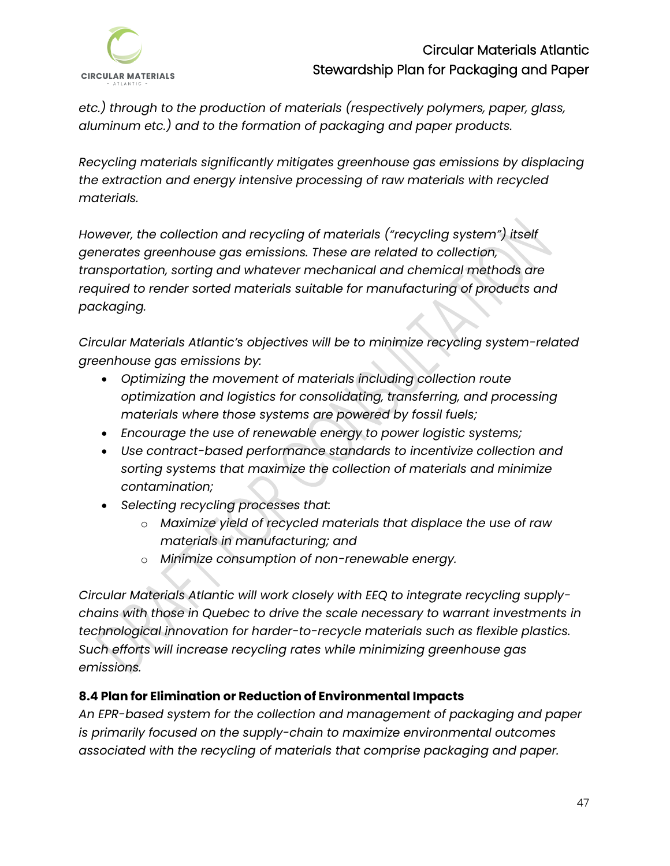

*etc.) through to the production of materials (respectively polymers, paper, glass, aluminum etc.) and to the formation of packaging and paper products.* 

*Recycling materials significantly mitigates greenhouse gas emissions by displacing the extraction and energy intensive processing of raw materials with recycled materials.*

*However, the collection and recycling of materials ("recycling system") itself generates greenhouse gas emissions. These are related to collection, transportation, sorting and whatever mechanical and chemical methods are required to render sorted materials suitable for manufacturing of products and packaging.*

*Circular Materials Atlantic's objectives will be to minimize recycling system-related greenhouse gas emissions by:*

- *Optimizing the movement of materials including collection route optimization and logistics for consolidating, transferring, and processing materials where those systems are powered by fossil fuels;*
- *Encourage the use of renewable energy to power logistic systems;*
- *Use contract-based performance standards to incentivize collection and sorting systems that maximize the collection of materials and minimize contamination;*
- *Selecting recycling processes that:*
	- o *Maximize yield of recycled materials that displace the use of raw materials in manufacturing; and*
	- o *Minimize consumption of non-renewable energy.*

*Circular Materials Atlantic will work closely with EEQ to integrate recycling supplychains with those in Quebec to drive the scale necessary to warrant investments in technological innovation for harder-to-recycle materials such as flexible plastics. Such efforts will increase recycling rates while minimizing greenhouse gas emissions.*

## <span id="page-49-0"></span>**8.4 Plan for Elimination or Reduction of Environmental Impacts**

*An EPR-based system for the collection and management of packaging and paper is primarily focused on the supply-chain to maximize environmental outcomes associated with the recycling of materials that comprise packaging and paper.*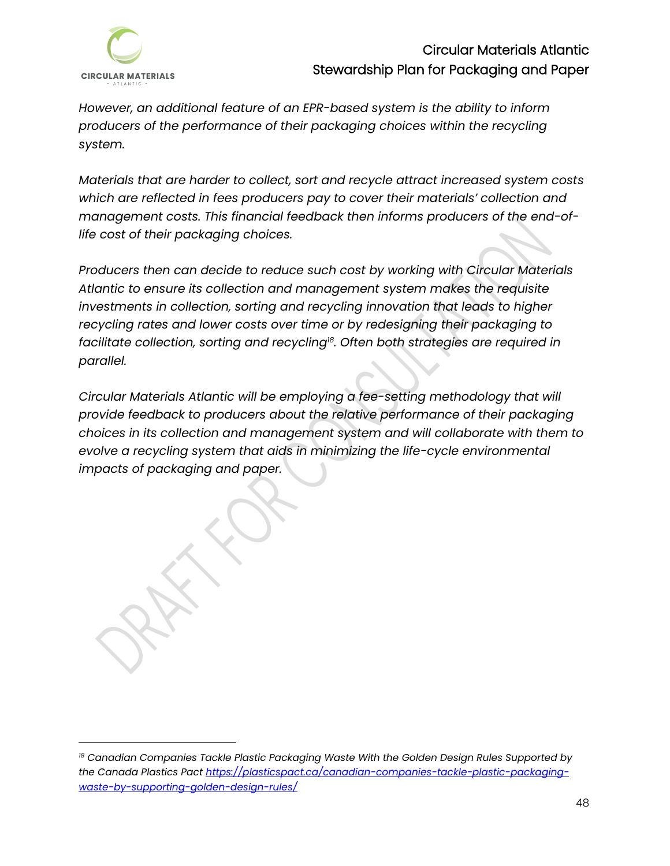

*However, an additional feature of an EPR-based system is the ability to inform producers of the performance of their packaging choices within the recycling system.* 

*Materials that are harder to collect, sort and recycle attract increased system costs which are reflected in fees producers pay to cover their materials' collection and management costs. This financial feedback then informs producers of the end-oflife cost of their packaging choices.*

*Producers then can decide to reduce such cost by working with Circular Materials Atlantic to ensure its collection and management system makes the requisite investments in collection, sorting and recycling innovation that leads to higher recycling rates and lower costs over time or by redesigning their packaging to facilitate collection, sorting and recycling<sup>18</sup> . Often both strategies are required in parallel.* 

*Circular Materials Atlantic will be employing a fee-setting methodology that will provide feedback to producers about the relative performance of their packaging choices in its collection and management system and will collaborate with them to evolve a recycling system that aids in minimizing the life-cycle environmental impacts of packaging and paper.*

*<sup>18</sup> Canadian Companies Tackle Plastic Packaging Waste With the Golden Design Rules Supported by the Canada Plastics Pact [https://plasticspact.ca/canadian-companies-tackle-plastic-packaging](https://plasticspact.ca/canadian-companies-tackle-plastic-packaging-waste-by-supporting-golden-design-rules/)[waste-by-supporting-golden-design-rules/](https://plasticspact.ca/canadian-companies-tackle-plastic-packaging-waste-by-supporting-golden-design-rules/)*